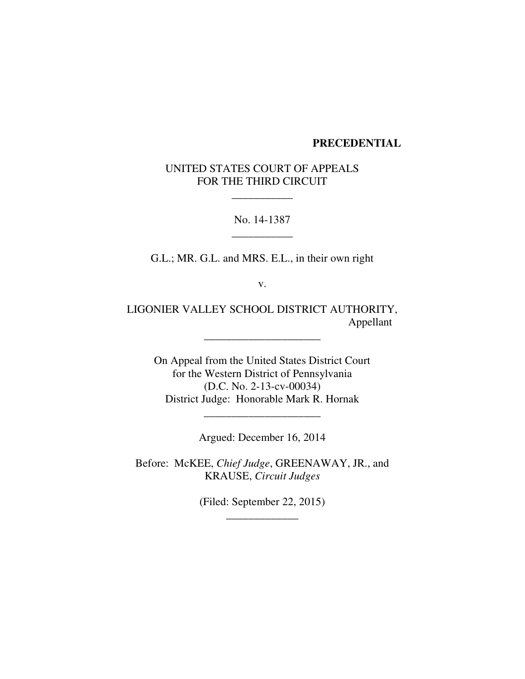## **PRECEDENTIAL**

UNITED STATES COURT OF APPEALS FOR THE THIRD CIRCUIT

\_\_\_\_\_\_\_\_\_\_\_

No. 14-1387 \_\_\_\_\_\_\_\_\_\_\_

G.L.; MR. G.L. and MRS. E.L., in their own right

v.

LIGONIER VALLEY SCHOOL DISTRICT AUTHORITY, Appellant

\_\_\_\_\_\_\_\_\_\_\_\_\_\_\_\_\_\_\_\_\_

On Appeal from the United States District Court for the Western District of Pennsylvania (D.C. No. 2-13-cv-00034) District Judge: Honorable Mark R. Hornak

Argued: December 16, 2014

\_\_\_\_\_\_\_\_\_\_\_\_\_\_\_\_\_\_\_\_\_

Before: McKEE, *Chief Judge*, GREENAWAY, JR., and KRAUSE, *Circuit Judges*

> (Filed: September 22, 2015) \_\_\_\_\_\_\_\_\_\_\_\_\_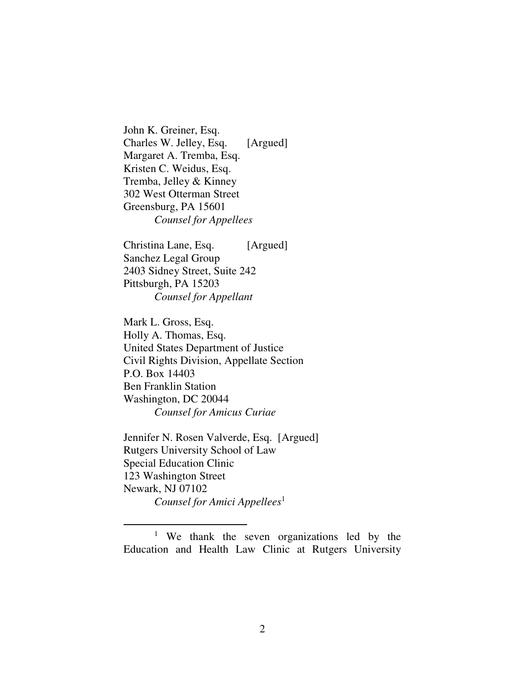John K. Greiner, Esq. Charles W. Jelley, Esq. [Argued] Margaret A. Tremba, Esq. Kristen C. Weidus, Esq. Tremba, Jelley & Kinney 302 West Otterman Street Greensburg, PA 15601 *Counsel for Appellees*

Christina Lane, Esq. [Argued] Sanchez Legal Group 2403 Sidney Street, Suite 242 Pittsburgh, PA 15203 *Counsel for Appellant*

Mark L. Gross, Esq. Holly A. Thomas, Esq. United States Department of Justice Civil Rights Division, Appellate Section P.O. Box 14403 Ben Franklin Station Washington, DC 20044 *Counsel for Amicus Curiae*

Jennifer N. Rosen Valverde, Esq. [Argued] Rutgers University School of Law Special Education Clinic 123 Washington Street Newark, NJ 07102 *Counsel for Amici Appellees*<sup>1</sup>

<sup>1</sup> We thank the seven organizations led by the Education and Health Law Clinic at Rutgers University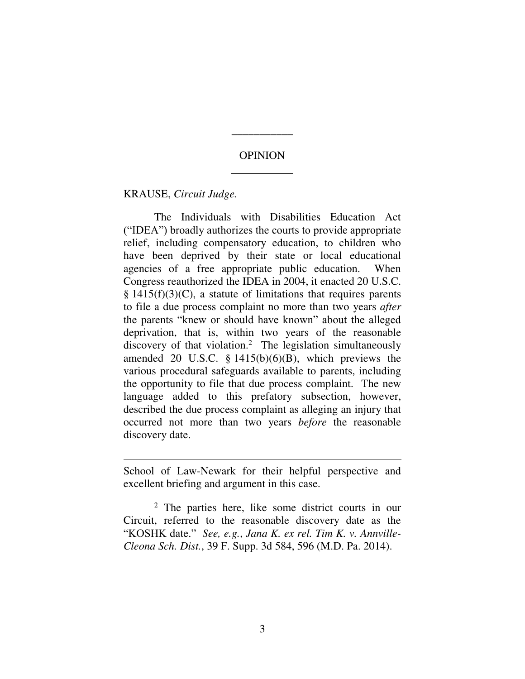## OPINION

 $\overline{a}$ 

\_\_\_\_\_\_\_\_\_\_\_

KRAUSE, *Circuit Judge.* 

 $\overline{a}$ 

The Individuals with Disabilities Education Act ("IDEA") broadly authorizes the courts to provide appropriate relief, including compensatory education, to children who have been deprived by their state or local educational agencies of a free appropriate public education. When Congress reauthorized the IDEA in 2004, it enacted 20 U.S.C.  $§$  1415(f)(3)(C), a statute of limitations that requires parents to file a due process complaint no more than two years *after* the parents "knew or should have known" about the alleged deprivation, that is, within two years of the reasonable discovery of that violation.<sup>2</sup> The legislation simultaneously amended 20 U.S.C.  $\S$  1415(b)(6)(B), which previews the various procedural safeguards available to parents, including the opportunity to file that due process complaint. The new language added to this prefatory subsection, however, described the due process complaint as alleging an injury that occurred not more than two years *before* the reasonable discovery date.

School of Law-Newark for their helpful perspective and excellent briefing and argument in this case.

<sup>2</sup> The parties here, like some district courts in our Circuit, referred to the reasonable discovery date as the "KOSHK date." *See, e.g.*, *Jana K. ex rel. Tim K. v. Annville-Cleona Sch. Dist.*, 39 F. Supp. 3d 584, 596 (M.D. Pa. 2014).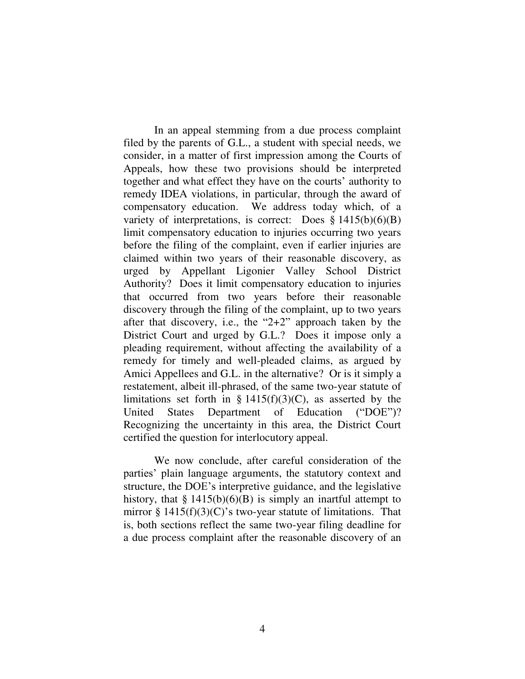In an appeal stemming from a due process complaint filed by the parents of G.L., a student with special needs, we consider, in a matter of first impression among the Courts of Appeals, how these two provisions should be interpreted together and what effect they have on the courts' authority to remedy IDEA violations, in particular, through the award of compensatory education. We address today which, of a variety of interpretations, is correct: Does  $\S 1415(b)(6)(B)$ limit compensatory education to injuries occurring two years before the filing of the complaint, even if earlier injuries are claimed within two years of their reasonable discovery, as urged by Appellant Ligonier Valley School District Authority? Does it limit compensatory education to injuries that occurred from two years before their reasonable discovery through the filing of the complaint, up to two years after that discovery, i.e., the "2+2" approach taken by the District Court and urged by G.L.? Does it impose only a pleading requirement, without affecting the availability of a remedy for timely and well-pleaded claims, as argued by Amici Appellees and G.L. in the alternative? Or is it simply a restatement, albeit ill-phrased, of the same two-year statute of limitations set forth in §  $1415(f)(3)(C)$ , as asserted by the United States Department of Education ("DOE")? Recognizing the uncertainty in this area, the District Court certified the question for interlocutory appeal.

We now conclude, after careful consideration of the parties' plain language arguments, the statutory context and structure, the DOE's interpretive guidance, and the legislative history, that  $\S 1415(b)(6)(B)$  is simply an inartful attempt to mirror  $\S 1415(f)(3)(C)$ 's two-year statute of limitations. That is, both sections reflect the same two-year filing deadline for a due process complaint after the reasonable discovery of an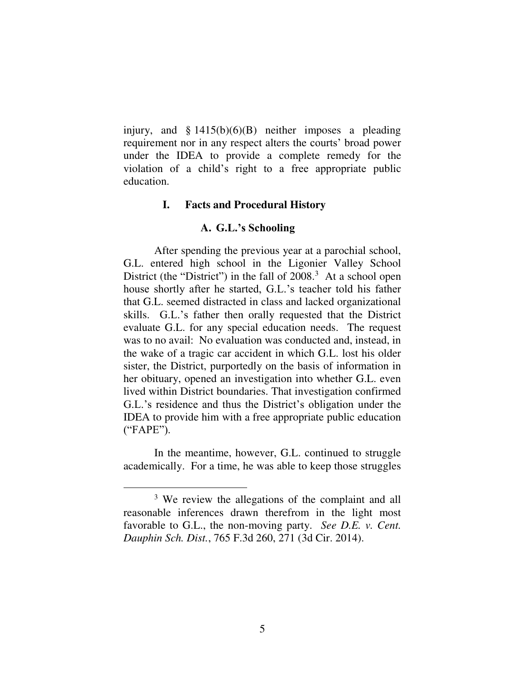injury, and  $\S 1415(b)(6)(B)$  neither imposes a pleading requirement nor in any respect alters the courts' broad power under the IDEA to provide a complete remedy for the violation of a child's right to a free appropriate public education.

## **I. Facts and Procedural History**

#### **A. G.L.'s Schooling**

After spending the previous year at a parochial school, G.L. entered high school in the Ligonier Valley School District (the "District") in the fall of  $2008.<sup>3</sup>$  At a school open house shortly after he started, G.L.'s teacher told his father that G.L. seemed distracted in class and lacked organizational skills. G.L.'s father then orally requested that the District evaluate G.L. for any special education needs. The request was to no avail: No evaluation was conducted and, instead, in the wake of a tragic car accident in which G.L. lost his older sister, the District, purportedly on the basis of information in her obituary, opened an investigation into whether G.L. even lived within District boundaries. That investigation confirmed G.L.'s residence and thus the District's obligation under the IDEA to provide him with a free appropriate public education ("FAPE").

In the meantime, however, G.L. continued to struggle academically. For a time, he was able to keep those struggles

<sup>&</sup>lt;sup>3</sup> We review the allegations of the complaint and all reasonable inferences drawn therefrom in the light most favorable to G.L., the non-moving party. *See D.E. v. Cent. Dauphin Sch. Dist.*, 765 F.3d 260, 271 (3d Cir. 2014).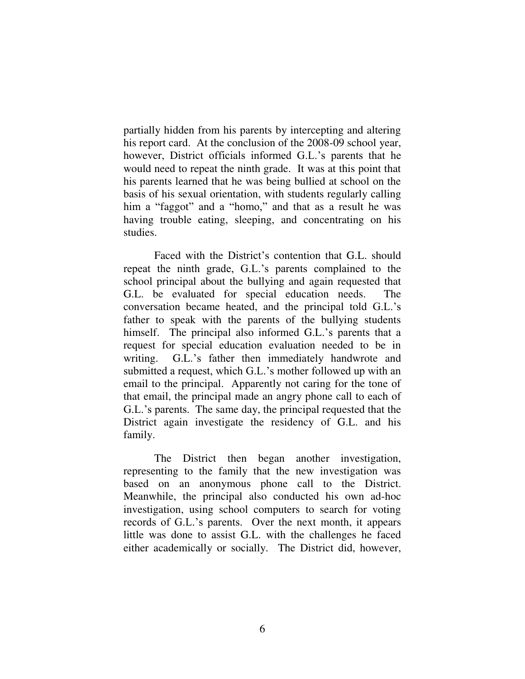partially hidden from his parents by intercepting and altering his report card. At the conclusion of the 2008-09 school year, however, District officials informed G.L.'s parents that he would need to repeat the ninth grade. It was at this point that his parents learned that he was being bullied at school on the basis of his sexual orientation, with students regularly calling him a "faggot" and a "homo," and that as a result he was having trouble eating, sleeping, and concentrating on his studies.

Faced with the District's contention that G.L. should repeat the ninth grade, G.L.'s parents complained to the school principal about the bullying and again requested that G.L. be evaluated for special education needs. The conversation became heated, and the principal told G.L.'s father to speak with the parents of the bullying students himself. The principal also informed G.L.'s parents that a request for special education evaluation needed to be in writing. G.L.'s father then immediately handwrote and submitted a request, which G.L.'s mother followed up with an email to the principal. Apparently not caring for the tone of that email, the principal made an angry phone call to each of G.L.'s parents. The same day, the principal requested that the District again investigate the residency of G.L. and his family.

The District then began another investigation, representing to the family that the new investigation was based on an anonymous phone call to the District. Meanwhile, the principal also conducted his own ad-hoc investigation, using school computers to search for voting records of G.L.'s parents. Over the next month, it appears little was done to assist G.L. with the challenges he faced either academically or socially. The District did, however,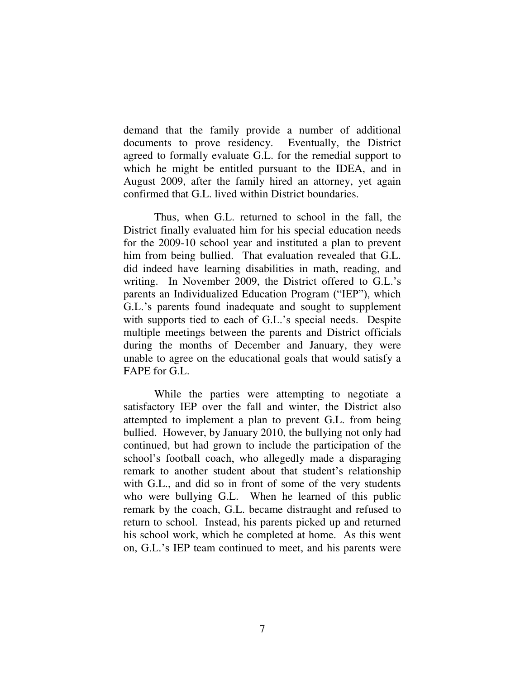demand that the family provide a number of additional documents to prove residency. Eventually, the District agreed to formally evaluate G.L. for the remedial support to which he might be entitled pursuant to the IDEA, and in August 2009, after the family hired an attorney, yet again confirmed that G.L. lived within District boundaries.

 Thus, when G.L. returned to school in the fall, the District finally evaluated him for his special education needs for the 2009-10 school year and instituted a plan to prevent him from being bullied. That evaluation revealed that G.L. did indeed have learning disabilities in math, reading, and writing. In November 2009, the District offered to G.L.'s parents an Individualized Education Program ("IEP"), which G.L.'s parents found inadequate and sought to supplement with supports tied to each of G.L.'s special needs. Despite multiple meetings between the parents and District officials during the months of December and January, they were unable to agree on the educational goals that would satisfy a FAPE for G.L.

While the parties were attempting to negotiate a satisfactory IEP over the fall and winter, the District also attempted to implement a plan to prevent G.L. from being bullied. However, by January 2010, the bullying not only had continued, but had grown to include the participation of the school's football coach, who allegedly made a disparaging remark to another student about that student's relationship with G.L., and did so in front of some of the very students who were bullying G.L. When he learned of this public remark by the coach, G.L. became distraught and refused to return to school. Instead, his parents picked up and returned his school work, which he completed at home. As this went on, G.L.'s IEP team continued to meet, and his parents were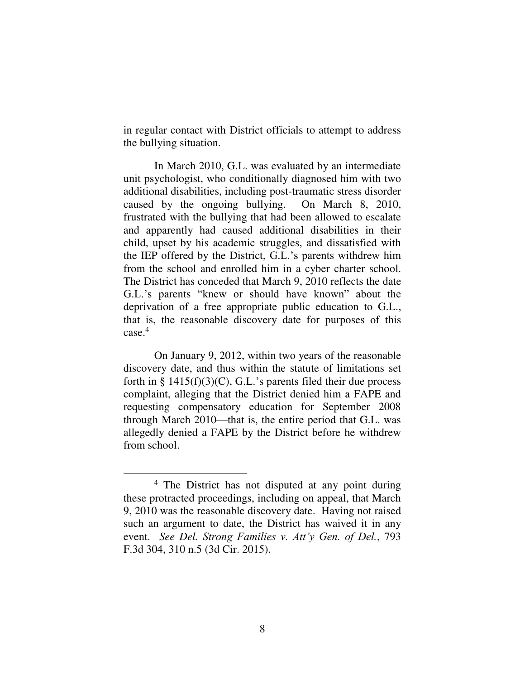in regular contact with District officials to attempt to address the bullying situation.

In March 2010, G.L. was evaluated by an intermediate unit psychologist, who conditionally diagnosed him with two additional disabilities, including post-traumatic stress disorder caused by the ongoing bullying. On March 8, 2010, frustrated with the bullying that had been allowed to escalate and apparently had caused additional disabilities in their child, upset by his academic struggles, and dissatisfied with the IEP offered by the District, G.L.'s parents withdrew him from the school and enrolled him in a cyber charter school. The District has conceded that March 9, 2010 reflects the date G.L.'s parents "knew or should have known" about the deprivation of a free appropriate public education to G.L., that is, the reasonable discovery date for purposes of this case.<sup>4</sup>

On January 9, 2012, within two years of the reasonable discovery date, and thus within the statute of limitations set forth in  $\S$  1415(f)(3)(C), G.L.'s parents filed their due process complaint, alleging that the District denied him a FAPE and requesting compensatory education for September 2008 through March 2010—that is, the entire period that G.L. was allegedly denied a FAPE by the District before he withdrew from school.

<sup>&</sup>lt;sup>4</sup> The District has not disputed at any point during these protracted proceedings, including on appeal, that March 9, 2010 was the reasonable discovery date. Having not raised such an argument to date, the District has waived it in any event. *See Del. Strong Families v. Att'y Gen. of Del.*, 793 F.3d 304, 310 n.5 (3d Cir. 2015).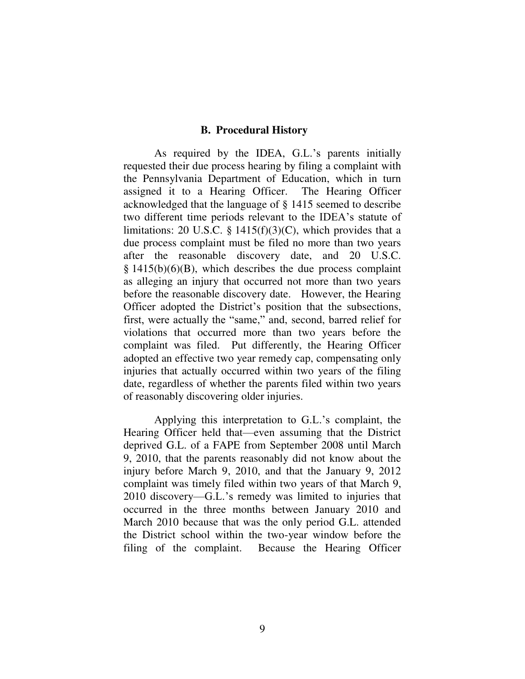#### **B. Procedural History**

As required by the IDEA, G.L.'s parents initially requested their due process hearing by filing a complaint with the Pennsylvania Department of Education, which in turn assigned it to a Hearing Officer. The Hearing Officer acknowledged that the language of § 1415 seemed to describe two different time periods relevant to the IDEA's statute of limitations: 20 U.S.C. § 1415(f)(3)(C), which provides that a due process complaint must be filed no more than two years after the reasonable discovery date, and 20 U.S.C.  $§$  1415(b)(6)(B), which describes the due process complaint as alleging an injury that occurred not more than two years before the reasonable discovery date. However, the Hearing Officer adopted the District's position that the subsections, first, were actually the "same," and, second, barred relief for violations that occurred more than two years before the complaint was filed. Put differently, the Hearing Officer adopted an effective two year remedy cap, compensating only injuries that actually occurred within two years of the filing date, regardless of whether the parents filed within two years of reasonably discovering older injuries.

Applying this interpretation to G.L.'s complaint, the Hearing Officer held that—even assuming that the District deprived G.L. of a FAPE from September 2008 until March 9, 2010, that the parents reasonably did not know about the injury before March 9, 2010, and that the January 9, 2012 complaint was timely filed within two years of that March 9, 2010 discovery—G.L.'s remedy was limited to injuries that occurred in the three months between January 2010 and March 2010 because that was the only period G.L. attended the District school within the two-year window before the filing of the complaint. Because the Hearing Officer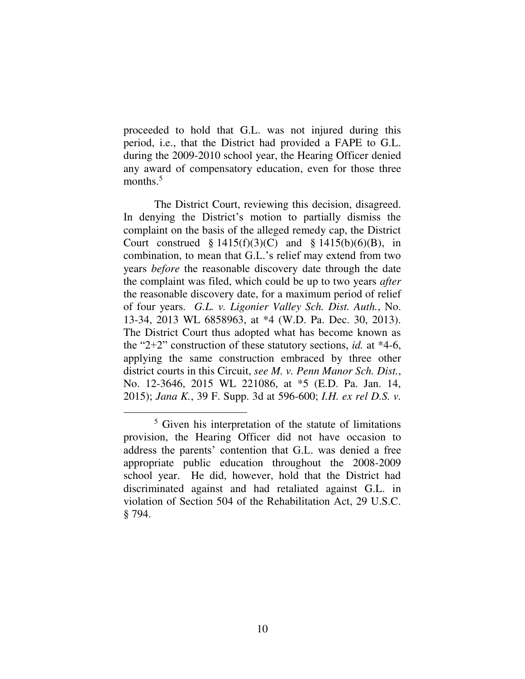proceeded to hold that G.L. was not injured during this period, i.e., that the District had provided a FAPE to G.L. during the 2009-2010 school year, the Hearing Officer denied any award of compensatory education, even for those three months.<sup>5</sup>

The District Court, reviewing this decision, disagreed. In denying the District's motion to partially dismiss the complaint on the basis of the alleged remedy cap, the District Court construed  $§ 1415(f)(3)(C)$  and  $§ 1415(b)(6)(B)$ , in combination, to mean that G.L.'s relief may extend from two years *before* the reasonable discovery date through the date the complaint was filed, which could be up to two years *after* the reasonable discovery date, for a maximum period of relief of four years. *G.L. v. Ligonier Valley Sch. Dist. Auth.*, No. 13-34, 2013 WL 6858963, at \*4 (W.D. Pa. Dec. 30, 2013). The District Court thus adopted what has become known as the "2+2" construction of these statutory sections, *id.* at \*4-6, applying the same construction embraced by three other district courts in this Circuit, *see M. v. Penn Manor Sch. Dist.*, No. 12-3646, 2015 WL 221086, at \*5 (E.D. Pa. Jan. 14, 2015); *Jana K.*, 39 F. Supp. 3d at 596-600; *I.H. ex rel D.S. v.* 

<sup>5</sup> Given his interpretation of the statute of limitations provision, the Hearing Officer did not have occasion to address the parents' contention that G.L. was denied a free appropriate public education throughout the 2008-2009 school year. He did, however, hold that the District had discriminated against and had retaliated against G.L. in violation of Section 504 of the Rehabilitation Act, 29 U.S.C. § 794.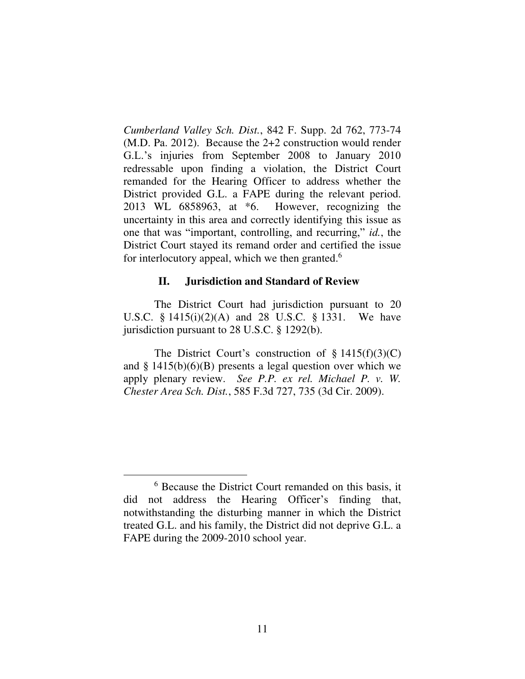*Cumberland Valley Sch. Dist.*, 842 F. Supp. 2d 762, 773-74 (M.D. Pa. 2012). Because the 2+2 construction would render G.L.'s injuries from September 2008 to January 2010 redressable upon finding a violation, the District Court remanded for the Hearing Officer to address whether the District provided G.L. a FAPE during the relevant period. 2013 WL 6858963, at \*6. However, recognizing the uncertainty in this area and correctly identifying this issue as one that was "important, controlling, and recurring," *id.*, the District Court stayed its remand order and certified the issue for interlocutory appeal, which we then granted. $6$ 

### **II. Jurisdiction and Standard of Review**

The District Court had jurisdiction pursuant to 20 U.S.C. § 1415(i)(2)(A) and 28 U.S.C. § 1331. We have jurisdiction pursuant to 28 U.S.C. § 1292(b).

The District Court's construction of  $\S 1415(f)(3)(C)$ and  $\S$  1415(b)(6)(B) presents a legal question over which we apply plenary review. *See P.P. ex rel. Michael P. v. W. Chester Area Sch. Dist.*, 585 F.3d 727, 735 (3d Cir. 2009).

<sup>6</sup> Because the District Court remanded on this basis, it did not address the Hearing Officer's finding that, notwithstanding the disturbing manner in which the District treated G.L. and his family, the District did not deprive G.L. a FAPE during the 2009-2010 school year.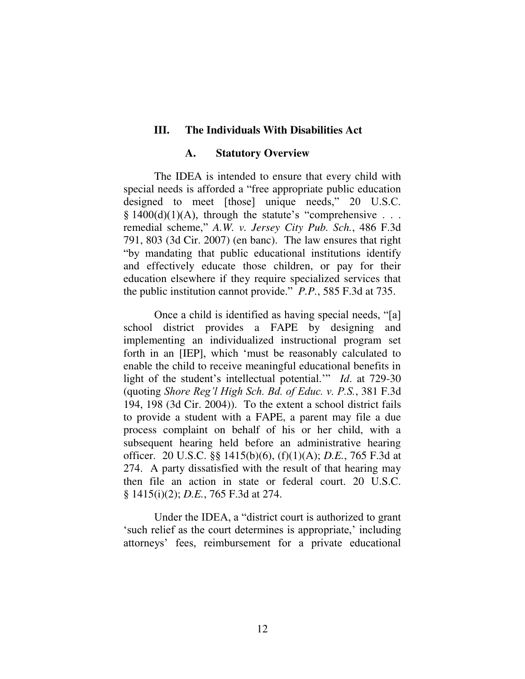## **III. The Individuals With Disabilities Act**

#### **A. Statutory Overview**

The IDEA is intended to ensure that every child with special needs is afforded a "free appropriate public education designed to meet [those] unique needs," 20 U.S.C.  $§ 1400(d)(1)(A)$ , through the statute's "comprehensive . . . remedial scheme," *A.W. v. Jersey City Pub. Sch.*, 486 F.3d 791, 803 (3d Cir. 2007) (en banc). The law ensures that right "by mandating that public educational institutions identify and effectively educate those children, or pay for their education elsewhere if they require specialized services that the public institution cannot provide." *P.P.*, 585 F.3d at 735.

Once a child is identified as having special needs, "[a] school district provides a FAPE by designing and implementing an individualized instructional program set forth in an [IEP], which 'must be reasonably calculated to enable the child to receive meaningful educational benefits in light of the student's intellectual potential.'" *Id*. at 729-30 (quoting *Shore Reg'l High Sch. Bd. of Educ. v. P.S.*, 381 F.3d 194, 198 (3d Cir. 2004)). To the extent a school district fails to provide a student with a FAPE, a parent may file a due process complaint on behalf of his or her child, with a subsequent hearing held before an administrative hearing officer.20 U.S.C. §§ 1415(b)(6), (f)(1)(A); *D.E.*, 765 F.3d at 274. A party dissatisfied with the result of that hearing may then file an action in state or federal court. 20 U.S.C. § 1415(i)(2); *D.E.*, 765 F.3d at 274.

Under the IDEA, a "district court is authorized to grant 'such relief as the court determines is appropriate,' including attorneys' fees, reimbursement for a private educational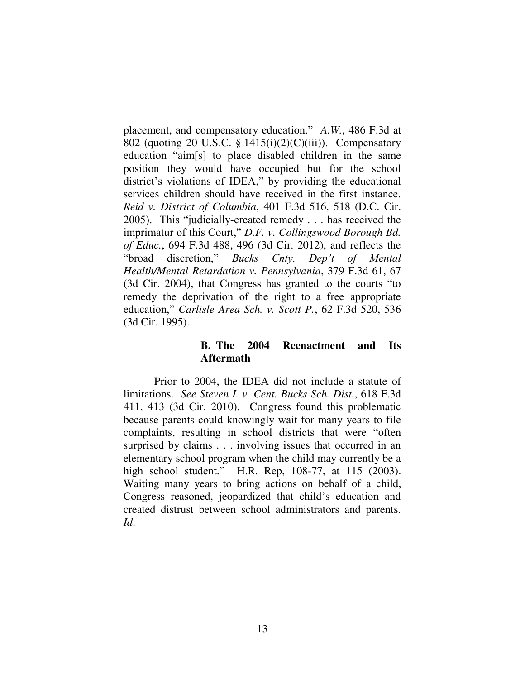placement, and compensatory education." *A.W.*, 486 F.3d at 802 (quoting 20 U.S.C. § 1415(i)(2)(C)(iii)). Compensatory education "aim[s] to place disabled children in the same position they would have occupied but for the school district's violations of IDEA," by providing the educational services children should have received in the first instance. *Reid v. District of Columbia*, 401 F.3d 516, 518 (D.C. Cir. 2005). This "judicially-created remedy . . . has received the imprimatur of this Court," *D.F. v. Collingswood Borough Bd. of Educ.*, 694 F.3d 488, 496 (3d Cir. 2012), and reflects the "broad discretion," *Bucks Cnty. Dep't of Mental Health/Mental Retardation v. Pennsylvania*, 379 F.3d 61, 67 (3d Cir. 2004), that Congress has granted to the courts "to remedy the deprivation of the right to a free appropriate education," *Carlisle Area Sch. v. Scott P.*, 62 F.3d 520, 536 (3d Cir. 1995).

# **B. The 2004 Reenactment and Its Aftermath**

Prior to 2004, the IDEA did not include a statute of limitations. *See Steven I. v. Cent. Bucks Sch. Dist.*, 618 F.3d 411, 413 (3d Cir. 2010). Congress found this problematic because parents could knowingly wait for many years to file complaints, resulting in school districts that were "often surprised by claims . . . involving issues that occurred in an elementary school program when the child may currently be a high school student." H.R. Rep, 108-77, at 115 (2003). Waiting many years to bring actions on behalf of a child, Congress reasoned, jeopardized that child's education and created distrust between school administrators and parents. *Id*.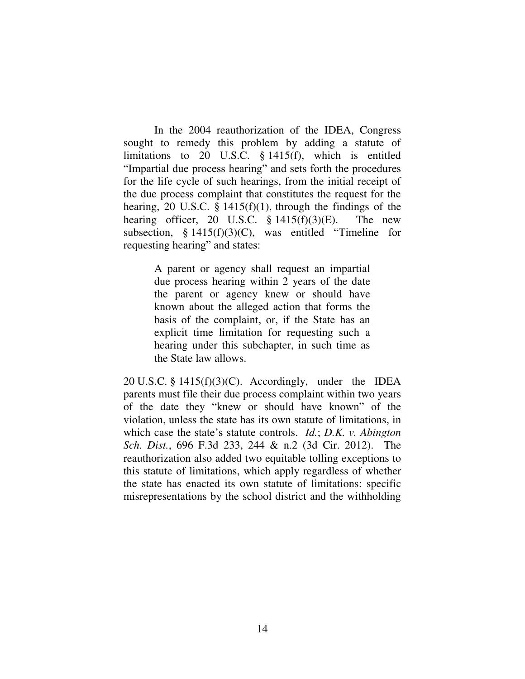In the 2004 reauthorization of the IDEA, Congress sought to remedy this problem by adding a statute of limitations to 20 U.S.C. § 1415(f), which is entitled "Impartial due process hearing" and sets forth the procedures for the life cycle of such hearings, from the initial receipt of the due process complaint that constitutes the request for the hearing, 20 U.S.C.  $\S$  1415(f)(1), through the findings of the hearing officer, 20 U.S.C.  $\S$  1415(f)(3)(E). The new subsection, § 1415(f)(3)(C), was entitled "Timeline for requesting hearing" and states:

> A parent or agency shall request an impartial due process hearing within 2 years of the date the parent or agency knew or should have known about the alleged action that forms the basis of the complaint, or, if the State has an explicit time limitation for requesting such a hearing under this subchapter, in such time as the State law allows.

20 U.S.C. §  $1415(f)(3)(C)$ . Accordingly, under the IDEA parents must file their due process complaint within two years of the date they "knew or should have known" of the violation, unless the state has its own statute of limitations, in which case the state's statute controls. *Id.*; *D.K. v. Abington Sch. Dist.*, 696 F.3d 233, 244 & n.2 (3d Cir. 2012). The reauthorization also added two equitable tolling exceptions to this statute of limitations, which apply regardless of whether the state has enacted its own statute of limitations: specific misrepresentations by the school district and the withholding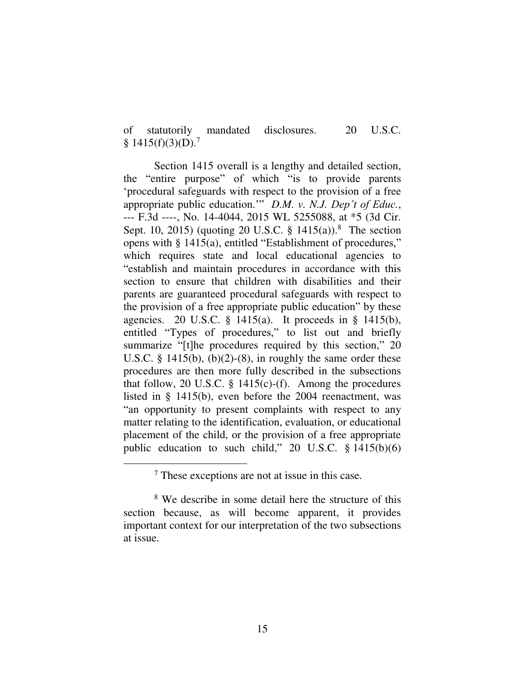of statutorily mandated disclosures. 20 U.S.C. §  $1415(f)(3)(D)$ .<sup>7</sup>

Section 1415 overall is a lengthy and detailed section, the "entire purpose" of which "is to provide parents 'procedural safeguards with respect to the provision of a free appropriate public education.'" *D.M. v. N.J. Dep't of Educ.*, --- F.3d ----, No. 14-4044, 2015 WL 5255088, at \*5 (3d Cir. Sept. 10, 2015) (quoting 20 U.S.C. § 1415(a)).<sup>8</sup> The section opens with § 1415(a), entitled "Establishment of procedures," which requires state and local educational agencies to "establish and maintain procedures in accordance with this section to ensure that children with disabilities and their parents are guaranteed procedural safeguards with respect to the provision of a free appropriate public education" by these agencies. 20 U.S.C.  $\S$  1415(a). It proceeds in  $\S$  1415(b), entitled "Types of procedures," to list out and briefly summarize "[t]he procedures required by this section," 20 U.S.C.  $\S$  1415(b), (b)(2)-(8), in roughly the same order these procedures are then more fully described in the subsections that follow, 20 U.S.C.  $\S$  1415(c)-(f). Among the procedures listed in § 1415(b), even before the 2004 reenactment, was "an opportunity to present complaints with respect to any matter relating to the identification, evaluation, or educational placement of the child, or the provision of a free appropriate public education to such child," 20 U.S.C. § 1415(b)(6)

<sup>7</sup> These exceptions are not at issue in this case.

<sup>&</sup>lt;sup>8</sup> We describe in some detail here the structure of this section because, as will become apparent, it provides important context for our interpretation of the two subsections at issue.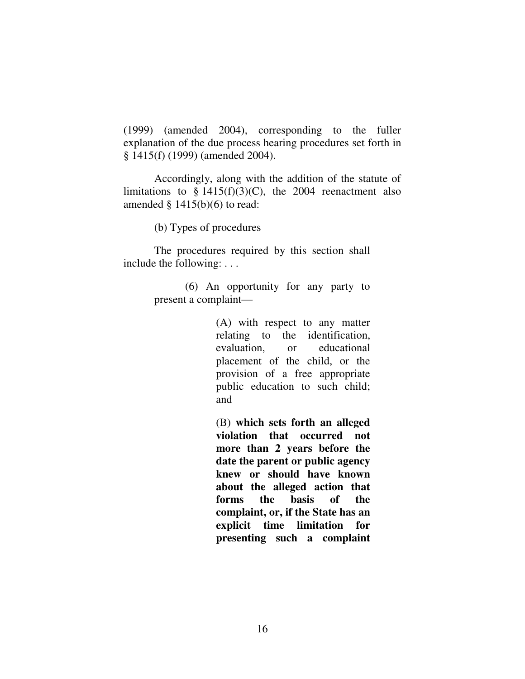(1999) (amended 2004), corresponding to the fuller explanation of the due process hearing procedures set forth in § 1415(f) (1999) (amended 2004).

Accordingly, along with the addition of the statute of limitations to  $\S$  1415(f)(3)(C), the 2004 reenactment also amended  $§$  1415(b)(6) to read:

(b) Types of procedures

The procedures required by this section shall include the following: . . .

> (6) An opportunity for any party to present a complaint—

> > (A) with respect to any matter relating to the identification, evaluation, or educational placement of the child, or the provision of a free appropriate public education to such child; and

> > (B) **which sets forth an alleged violation that occurred not more than 2 years before the date the parent or public agency knew or should have known about the alleged action that forms the basis of the complaint, or, if the State has an explicit time limitation for presenting such a complaint**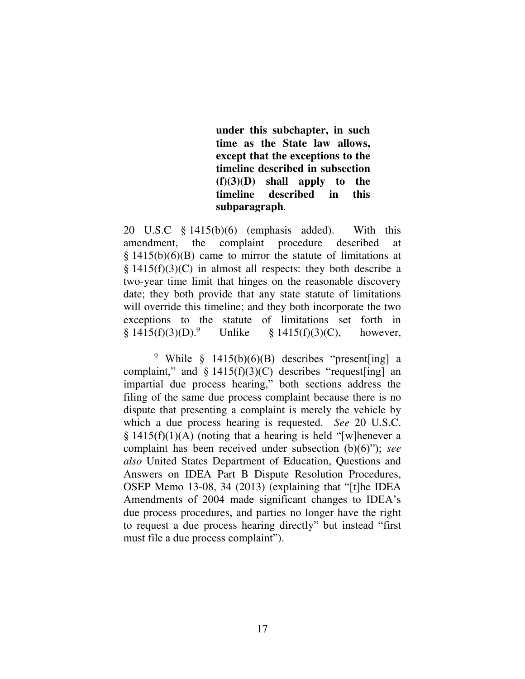**under this subchapter, in such time as the State law allows, except that the exceptions to the timeline described in subsection (f)(3)(D) shall apply to the timeline described in this subparagraph**.

20 U.S.C § 1415(b)(6) (emphasis added). With this amendment, the complaint procedure described at  $\S$  1415(b)(6)(B) came to mirror the statute of limitations at  $§$  1415(f)(3)(C) in almost all respects: they both describe a two-year time limit that hinges on the reasonable discovery date; they both provide that any state statute of limitations will override this timeline; and they both incorporate the two exceptions to the statute of limitations set forth in  $§ 1415(f)(3)(D).<sup>9</sup>$ Unlike  $\S$  1415(f)(3)(C), however,

 $\overline{a}$ <sup>9</sup> While  $\frac{1415(b)(6)(B)}{B}$  describes "present[ing] a complaint," and  $\S$  1415(f)(3)(C) describes "request [ing] an impartial due process hearing," both sections address the filing of the same due process complaint because there is no dispute that presenting a complaint is merely the vehicle by which a due process hearing is requested. *See* 20 U.S.C.  $§$  1415(f)(1)(A) (noting that a hearing is held "[w]henever a complaint has been received under subsection (b)(6)"); *see also* United States Department of Education, Questions and Answers on IDEA Part B Dispute Resolution Procedures, OSEP Memo 13-08, 34 (2013) (explaining that "[t]he IDEA Amendments of 2004 made significant changes to IDEA's due process procedures, and parties no longer have the right to request a due process hearing directly" but instead "first must file a due process complaint").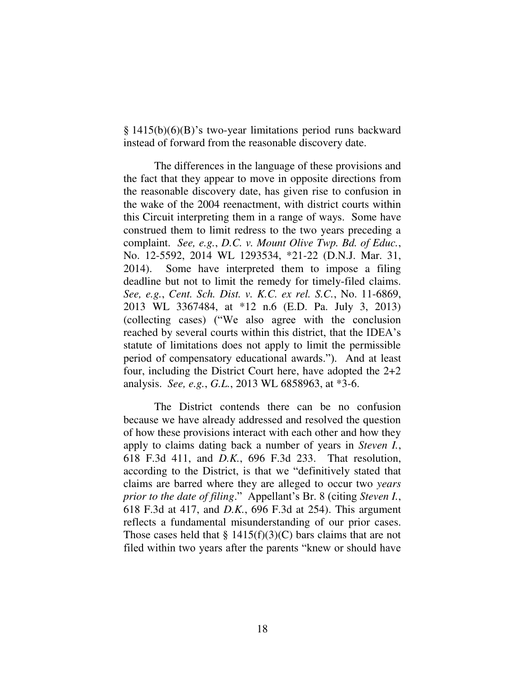§ 1415(b)(6)(B)'s two-year limitations period runs backward instead of forward from the reasonable discovery date.

 The differences in the language of these provisions and the fact that they appear to move in opposite directions from the reasonable discovery date, has given rise to confusion in the wake of the 2004 reenactment, with district courts within this Circuit interpreting them in a range of ways. Some have construed them to limit redress to the two years preceding a complaint. *See, e.g.*, *D.C. v. Mount Olive Twp. Bd. of Educ.*, No. 12-5592, 2014 WL 1293534, \*21-22 (D.N.J. Mar. 31, 2014). Some have interpreted them to impose a filing deadline but not to limit the remedy for timely-filed claims. *See, e.g.*, *Cent. Sch. Dist. v. K.C. ex rel. S.C.*, No. 11-6869, 2013 WL 3367484, at \*12 n.6 (E.D. Pa. July 3, 2013) (collecting cases) ("We also agree with the conclusion reached by several courts within this district, that the IDEA's statute of limitations does not apply to limit the permissible period of compensatory educational awards."). And at least four, including the District Court here, have adopted the 2+2 analysis. *See, e.g.*, *G.L.*, 2013 WL 6858963, at \*3-6.

 The District contends there can be no confusion because we have already addressed and resolved the question of how these provisions interact with each other and how they apply to claims dating back a number of years in *Steven I.*, 618 F.3d 411, and *D.K.*, 696 F.3d 233. That resolution, according to the District, is that we "definitively stated that claims are barred where they are alleged to occur two *years prior to the date of filing*." Appellant's Br. 8 (citing *Steven I.*, 618 F.3d at 417, and *D.K.*, 696 F.3d at 254). This argument reflects a fundamental misunderstanding of our prior cases. Those cases held that  $\S 1415(f)(3)(C)$  bars claims that are not filed within two years after the parents "knew or should have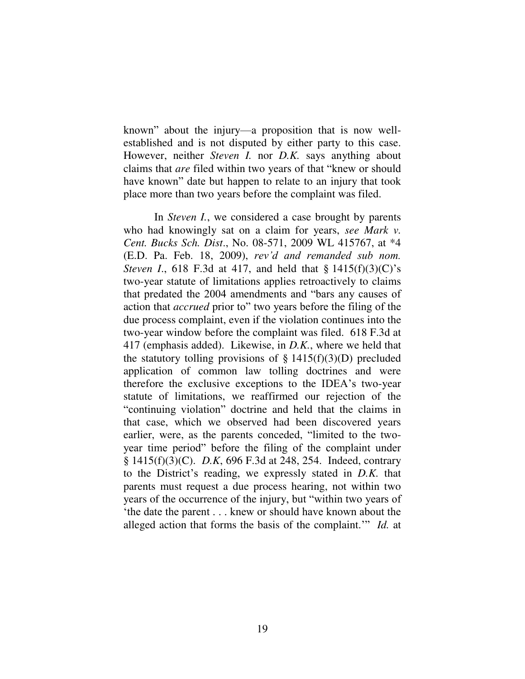known" about the injury—a proposition that is now wellestablished and is not disputed by either party to this case. However, neither *Steven I.* nor *D.K.* says anything about claims that *are* filed within two years of that "knew or should have known" date but happen to relate to an injury that took place more than two years before the complaint was filed.

In *Steven I.*, we considered a case brought by parents who had knowingly sat on a claim for years, *see Mark v. Cent. Bucks Sch. Dist*., No. 08-571, 2009 WL 415767, at \*4 (E.D. Pa. Feb. 18, 2009), *rev'd and remanded sub nom. Steven I.*, 618 F.3d at 417, and held that § 1415(f)(3)(C)'s two-year statute of limitations applies retroactively to claims that predated the 2004 amendments and "bars any causes of action that *accrued* prior to" two years before the filing of the due process complaint, even if the violation continues into the two-year window before the complaint was filed. 618 F.3d at 417 (emphasis added). Likewise, in *D.K.*, where we held that the statutory tolling provisions of  $\S 1415(f)(3)(D)$  precluded application of common law tolling doctrines and were therefore the exclusive exceptions to the IDEA's two-year statute of limitations, we reaffirmed our rejection of the "continuing violation" doctrine and held that the claims in that case, which we observed had been discovered years earlier, were, as the parents conceded, "limited to the twoyear time period" before the filing of the complaint under § 1415(f)(3)(C). *D.K*, 696 F.3d at 248, 254. Indeed, contrary to the District's reading, we expressly stated in *D.K.* that parents must request a due process hearing, not within two years of the occurrence of the injury, but "within two years of 'the date the parent . . . knew or should have known about the alleged action that forms the basis of the complaint.'" *Id.* at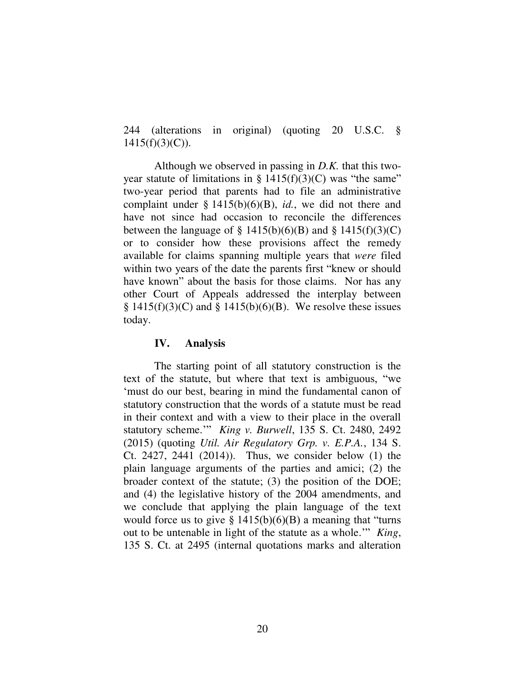244 (alterations in original) (quoting 20 U.S.C. §  $1415(f)(3)(C)$ ).

Although we observed in passing in *D.K.* that this twoyear statute of limitations in  $\S 1415(f)(3)(C)$  was "the same" two-year period that parents had to file an administrative complaint under § 1415(b)(6)(B), *id.*, we did not there and have not since had occasion to reconcile the differences between the language of  $\S$  1415(b)(6)(B) and  $\S$  1415(f)(3)(C) or to consider how these provisions affect the remedy available for claims spanning multiple years that *were* filed within two years of the date the parents first "knew or should have known" about the basis for those claims. Nor has any other Court of Appeals addressed the interplay between  $§ 1415(f)(3)(C)$  and  $§ 1415(b)(6)(B)$ . We resolve these issues today.

## **IV. Analysis**

 The starting point of all statutory construction is the text of the statute, but where that text is ambiguous, "we 'must do our best, bearing in mind the fundamental canon of statutory construction that the words of a statute must be read in their context and with a view to their place in the overall statutory scheme.'" *King v. Burwell*, 135 S. Ct. 2480, 2492 (2015) (quoting *Util. Air Regulatory Grp. v. E.P.A.*, 134 S. Ct. 2427, 2441 (2014)). Thus, we consider below (1) the plain language arguments of the parties and amici; (2) the broader context of the statute; (3) the position of the DOE; and (4) the legislative history of the 2004 amendments, and we conclude that applying the plain language of the text would force us to give  $\S 1415(b)(6)(B)$  a meaning that "turns" out to be untenable in light of the statute as a whole.'" *King*, 135 S. Ct. at 2495 (internal quotations marks and alteration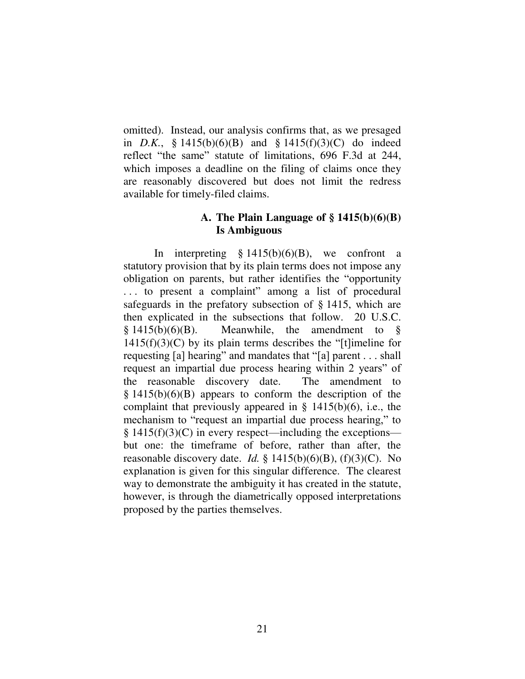omitted). Instead, our analysis confirms that, as we presaged in *D.K.*, § 1415(b)(6)(B) and § 1415(f)(3)(C) do indeed reflect "the same" statute of limitations, 696 F.3d at 244, which imposes a deadline on the filing of claims once they are reasonably discovered but does not limit the redress available for timely-filed claims.

## **A. The Plain Language of § 1415(b)(6)(B) Is Ambiguous**

In interpreting  $\S 1415(b)(6)(B)$ , we confront a statutory provision that by its plain terms does not impose any obligation on parents, but rather identifies the "opportunity . . . to present a complaint" among a list of procedural safeguards in the prefatory subsection of § 1415, which are then explicated in the subsections that follow. 20 U.S.C.  $§ 1415(b)(6)(B)$ . Meanwhile, the amendment to  $1415(f)(3)(C)$  by its plain terms describes the "[t]imeline for requesting [a] hearing" and mandates that "[a] parent . . . shall request an impartial due process hearing within 2 years" of the reasonable discovery date. The amendment to  $§$  1415(b)(6)(B) appears to conform the description of the complaint that previously appeared in  $\S$  1415(b)(6), i.e., the mechanism to "request an impartial due process hearing," to  $§$  1415(f)(3)(C) in every respect—including the exceptions but one: the timeframe of before, rather than after, the reasonable discovery date. *Id.* § 1415(b)(6)(B), (f)(3)(C). No explanation is given for this singular difference. The clearest way to demonstrate the ambiguity it has created in the statute, however, is through the diametrically opposed interpretations proposed by the parties themselves.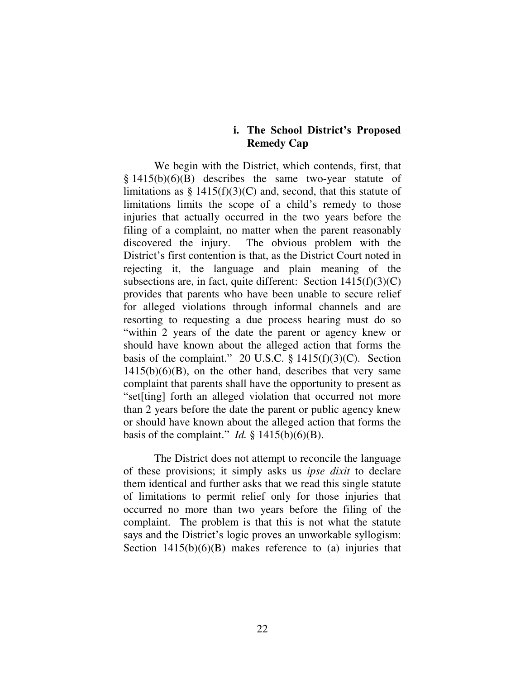## **i. The School District's Proposed Remedy Cap**

We begin with the District, which contends, first, that  $§$  1415(b)(6)(B) describes the same two-year statute of limitations as  $\S 1415(f)(3)(C)$  and, second, that this statute of limitations limits the scope of a child's remedy to those injuries that actually occurred in the two years before the filing of a complaint, no matter when the parent reasonably discovered the injury. The obvious problem with the District's first contention is that, as the District Court noted in rejecting it, the language and plain meaning of the subsections are, in fact, quite different: Section  $1415(f)(3)(C)$ provides that parents who have been unable to secure relief for alleged violations through informal channels and are resorting to requesting a due process hearing must do so "within 2 years of the date the parent or agency knew or should have known about the alleged action that forms the basis of the complaint." 20 U.S.C.  $\S$  1415(f)(3)(C). Section  $1415(b)(6)(B)$ , on the other hand, describes that very same complaint that parents shall have the opportunity to present as "set[ting] forth an alleged violation that occurred not more than 2 years before the date the parent or public agency knew or should have known about the alleged action that forms the basis of the complaint." *Id.*  $\S$  1415(b)(6)(B).

The District does not attempt to reconcile the language of these provisions; it simply asks us *ipse dixit* to declare them identical and further asks that we read this single statute of limitations to permit relief only for those injuries that occurred no more than two years before the filing of the complaint. The problem is that this is not what the statute says and the District's logic proves an unworkable syllogism: Section  $1415(b)(6)(B)$  makes reference to (a) injuries that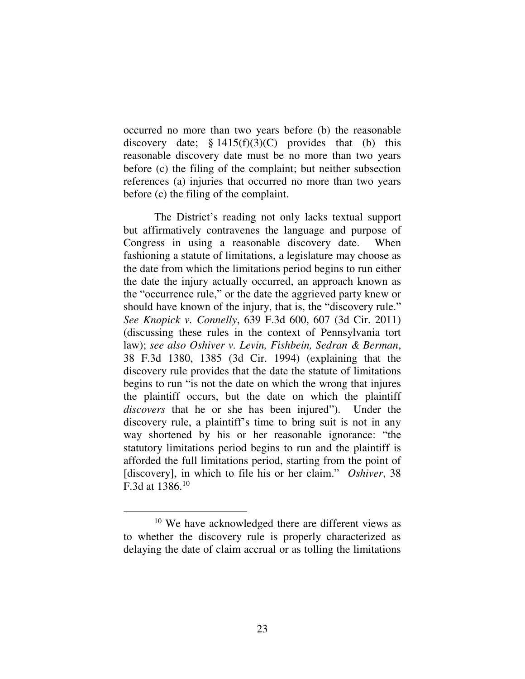occurred no more than two years before (b) the reasonable discovery date;  $§ 1415(f)(3)(C)$  provides that (b) this reasonable discovery date must be no more than two years before (c) the filing of the complaint; but neither subsection references (a) injuries that occurred no more than two years before (c) the filing of the complaint.

The District's reading not only lacks textual support but affirmatively contravenes the language and purpose of Congress in using a reasonable discovery date. When fashioning a statute of limitations, a legislature may choose as the date from which the limitations period begins to run either the date the injury actually occurred, an approach known as the "occurrence rule," or the date the aggrieved party knew or should have known of the injury, that is, the "discovery rule." *See Knopick v. Connelly*, 639 F.3d 600, 607 (3d Cir. 2011) (discussing these rules in the context of Pennsylvania tort law); *see also Oshiver v. Levin, Fishbein, Sedran & Berman*, 38 F.3d 1380, 1385 (3d Cir. 1994) (explaining that the discovery rule provides that the date the statute of limitations begins to run "is not the date on which the wrong that injures the plaintiff occurs, but the date on which the plaintiff *discovers* that he or she has been injured"). Under the discovery rule, a plaintiff's time to bring suit is not in any way shortened by his or her reasonable ignorance: "the statutory limitations period begins to run and the plaintiff is afforded the full limitations period, starting from the point of [discovery], in which to file his or her claim." *Oshiver*, 38 F.3d at 1386.<sup>10</sup>

<sup>&</sup>lt;sup>10</sup> We have acknowledged there are different views as to whether the discovery rule is properly characterized as delaying the date of claim accrual or as tolling the limitations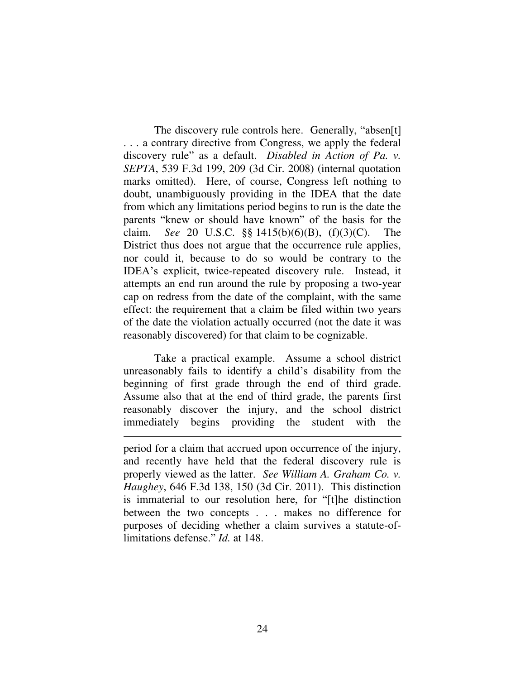The discovery rule controls here. Generally, "absen[t] . . . a contrary directive from Congress, we apply the federal discovery rule" as a default. *Disabled in Action of Pa. v. SEPTA*, 539 F.3d 199, 209 (3d Cir. 2008) (internal quotation marks omitted). Here, of course, Congress left nothing to doubt, unambiguously providing in the IDEA that the date from which any limitations period begins to run is the date the parents "knew or should have known" of the basis for the claim. *See* 20 U.S.C. §§ 1415(b)(6)(B), (f)(3)(C). The District thus does not argue that the occurrence rule applies, nor could it, because to do so would be contrary to the IDEA's explicit, twice-repeated discovery rule. Instead, it attempts an end run around the rule by proposing a two-year cap on redress from the date of the complaint, with the same effect: the requirement that a claim be filed within two years of the date the violation actually occurred (not the date it was reasonably discovered) for that claim to be cognizable.

Take a practical example. Assume a school district unreasonably fails to identify a child's disability from the beginning of first grade through the end of third grade. Assume also that at the end of third grade, the parents first reasonably discover the injury, and the school district immediately begins providing the student with the

 $\overline{a}$ 

period for a claim that accrued upon occurrence of the injury, and recently have held that the federal discovery rule is properly viewed as the latter. *See William A. Graham Co. v. Haughey*, 646 F.3d 138, 150 (3d Cir. 2011). This distinction is immaterial to our resolution here, for "[t]he distinction between the two concepts . . . makes no difference for purposes of deciding whether a claim survives a statute-oflimitations defense." *Id.* at 148.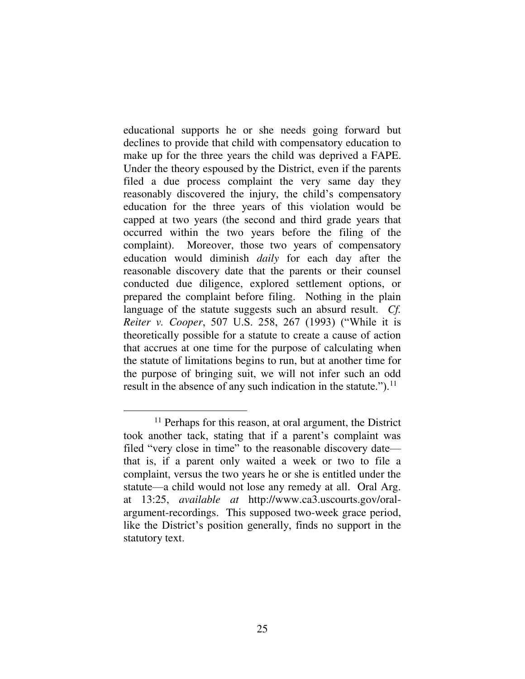educational supports he or she needs going forward but declines to provide that child with compensatory education to make up for the three years the child was deprived a FAPE. Under the theory espoused by the District, even if the parents filed a due process complaint the very same day they reasonably discovered the injury, the child's compensatory education for the three years of this violation would be capped at two years (the second and third grade years that occurred within the two years before the filing of the complaint). Moreover, those two years of compensatory education would diminish *daily* for each day after the reasonable discovery date that the parents or their counsel conducted due diligence, explored settlement options, or prepared the complaint before filing. Nothing in the plain language of the statute suggests such an absurd result. *Cf. Reiter v. Cooper*, 507 U.S. 258, 267 (1993) ("While it is theoretically possible for a statute to create a cause of action that accrues at one time for the purpose of calculating when the statute of limitations begins to run, but at another time for the purpose of bringing suit, we will not infer such an odd result in the absence of any such indication in the statute."). $^{11}$ 

<sup>&</sup>lt;sup>11</sup> Perhaps for this reason, at oral argument, the District took another tack, stating that if a parent's complaint was filed "very close in time" to the reasonable discovery date that is, if a parent only waited a week or two to file a complaint, versus the two years he or she is entitled under the statute—a child would not lose any remedy at all. Oral Arg. at 13:25, *available at* http://www.ca3.uscourts.gov/oralargument-recordings. This supposed two-week grace period, like the District's position generally, finds no support in the statutory text.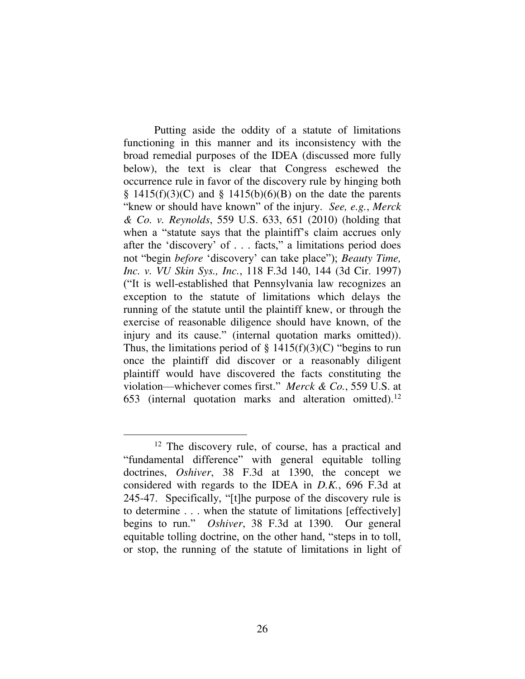Putting aside the oddity of a statute of limitations functioning in this manner and its inconsistency with the broad remedial purposes of the IDEA (discussed more fully below), the text is clear that Congress eschewed the occurrence rule in favor of the discovery rule by hinging both  $§$  1415(f)(3)(C) and  $§$  1415(b)(6)(B) on the date the parents "knew or should have known" of the injury. *See, e.g.*, *Merck & Co. v. Reynolds*, 559 U.S. 633, 651 (2010) (holding that when a "statute says that the plaintiff's claim accrues only after the 'discovery' of . . . facts," a limitations period does not "begin *before* 'discovery' can take place"); *Beauty Time, Inc. v. VU Skin Sys., Inc.*, 118 F.3d 140, 144 (3d Cir. 1997) ("It is well-established that Pennsylvania law recognizes an exception to the statute of limitations which delays the running of the statute until the plaintiff knew, or through the exercise of reasonable diligence should have known, of the injury and its cause." (internal quotation marks omitted)). Thus, the limitations period of  $\S$  1415(f)(3)(C) "begins to run once the plaintiff did discover or a reasonably diligent plaintiff would have discovered the facts constituting the violation—whichever comes first." *Merck & Co.*, 559 U.S. at 653 (internal quotation marks and alteration omitted).<sup>12</sup>

<sup>&</sup>lt;sup>12</sup> The discovery rule, of course, has a practical and "fundamental difference" with general equitable tolling doctrines, *Oshiver*, 38 F.3d at 1390, the concept we considered with regards to the IDEA in *D.K.*, 696 F.3d at 245-47. Specifically, "[t]he purpose of the discovery rule is to determine . . . when the statute of limitations [effectively] begins to run." *Oshiver*, 38 F.3d at 1390. Our general equitable tolling doctrine, on the other hand, "steps in to toll, or stop, the running of the statute of limitations in light of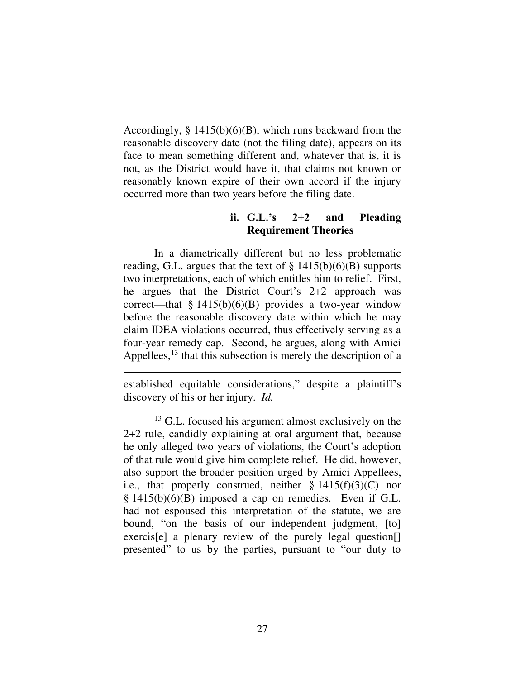Accordingly,  $\S 1415(b)(6)(B)$ , which runs backward from the reasonable discovery date (not the filing date), appears on its face to mean something different and, whatever that is, it is not, as the District would have it, that claims not known or reasonably known expire of their own accord if the injury occurred more than two years before the filing date.

# **ii. G.L.'s 2+2 and Pleading Requirement Theories**

 In a diametrically different but no less problematic reading, G.L. argues that the text of  $\S 1415(b)(6)(B)$  supports two interpretations, each of which entitles him to relief. First, he argues that the District Court's 2+2 approach was correct—that §  $1415(b)(6)(B)$  provides a two-year window before the reasonable discovery date within which he may claim IDEA violations occurred, thus effectively serving as a four-year remedy cap. Second, he argues, along with Amici Appellees,<sup>13</sup> that this subsection is merely the description of a

established equitable considerations," despite a plaintiff's discovery of his or her injury. *Id.*

<sup>&</sup>lt;sup>13</sup> G.L. focused his argument almost exclusively on the 2+2 rule, candidly explaining at oral argument that, because he only alleged two years of violations, the Court's adoption of that rule would give him complete relief. He did, however, also support the broader position urged by Amici Appellees, i.e., that properly construed, neither  $\S 1415(f)(3)(C)$  nor  $§$  1415(b)(6)(B) imposed a cap on remedies. Even if G.L. had not espoused this interpretation of the statute, we are bound, "on the basis of our independent judgment, [to] exercis<sup>[e]</sup> a plenary review of the purely legal question<sup>[]</sup> presented" to us by the parties, pursuant to "our duty to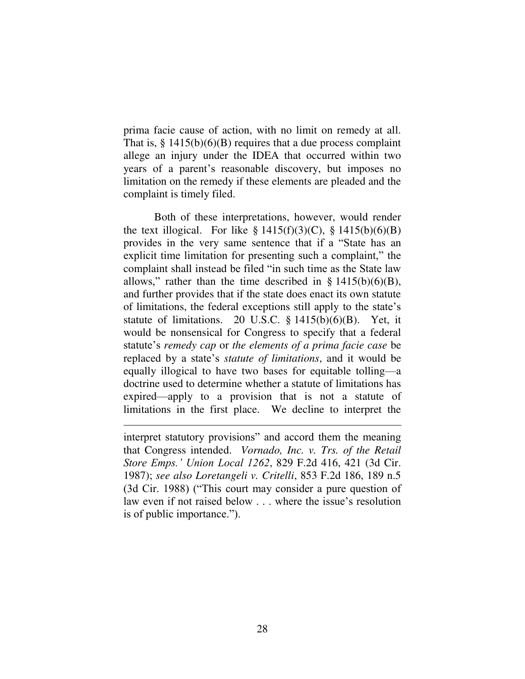prima facie cause of action, with no limit on remedy at all. That is,  $\S$  1415(b)(6)(B) requires that a due process complaint allege an injury under the IDEA that occurred within two years of a parent's reasonable discovery, but imposes no limitation on the remedy if these elements are pleaded and the complaint is timely filed.

Both of these interpretations, however, would render the text illogical. For like  $\S 1415(f)(3)(C)$ ,  $\S 1415(b)(6)(B)$ provides in the very same sentence that if a "State has an explicit time limitation for presenting such a complaint," the complaint shall instead be filed "in such time as the State law allows," rather than the time described in §  $1415(b)(6)(B)$ , and further provides that if the state does enact its own statute of limitations, the federal exceptions still apply to the state's statute of limitations. 20 U.S.C.  $\S$  1415(b)(6)(B). Yet, it would be nonsensical for Congress to specify that a federal statute's *remedy cap* or *the elements of a prima facie case* be replaced by a state's *statute of limitations*, and it would be equally illogical to have two bases for equitable tolling—a doctrine used to determine whether a statute of limitations has expired—apply to a provision that is not a statute of limitations in the first place. We decline to interpret the

interpret statutory provisions" and accord them the meaning that Congress intended. *Vornado, Inc. v. Trs. of the Retail Store Emps.' Union Local 1262*, 829 F.2d 416, 421 (3d Cir. 1987); *see also Loretangeli v. Critelli*, 853 F.2d 186, 189 n.5 (3d Cir. 1988) ("This court may consider a pure question of law even if not raised below . . . where the issue's resolution is of public importance.").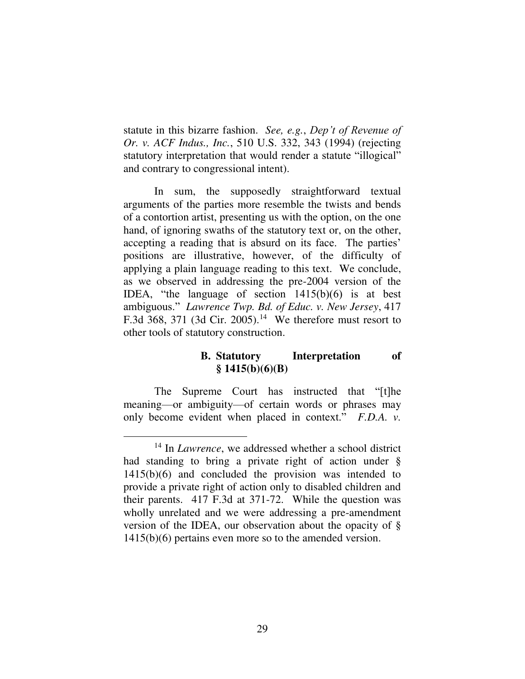statute in this bizarre fashion. *See, e.g.*, *Dep't of Revenue of Or. v. ACF Indus., Inc.*, 510 U.S. 332, 343 (1994) (rejecting statutory interpretation that would render a statute "illogical" and contrary to congressional intent).

In sum, the supposedly straightforward textual arguments of the parties more resemble the twists and bends of a contortion artist, presenting us with the option, on the one hand, of ignoring swaths of the statutory text or, on the other, accepting a reading that is absurd on its face. The parties' positions are illustrative, however, of the difficulty of applying a plain language reading to this text. We conclude, as we observed in addressing the pre-2004 version of the IDEA, "the language of section 1415(b)(6) is at best ambiguous." *Lawrence Twp. Bd. of Educ. v. New Jersey*, 417 F.3d 368, 371 (3d Cir. 2005).<sup>14</sup> We therefore must resort to other tools of statutory construction.

# **B. Statutory Interpretation of § 1415(b)(6)(B)**

The Supreme Court has instructed that "[t]he meaning—or ambiguity—of certain words or phrases may only become evident when placed in context." *F.D.A. v.* 

<sup>14</sup> In *Lawrence*, we addressed whether a school district had standing to bring a private right of action under § 1415(b)(6) and concluded the provision was intended to provide a private right of action only to disabled children and their parents. 417 F.3d at 371-72. While the question was wholly unrelated and we were addressing a pre-amendment version of the IDEA, our observation about the opacity of § 1415(b)(6) pertains even more so to the amended version.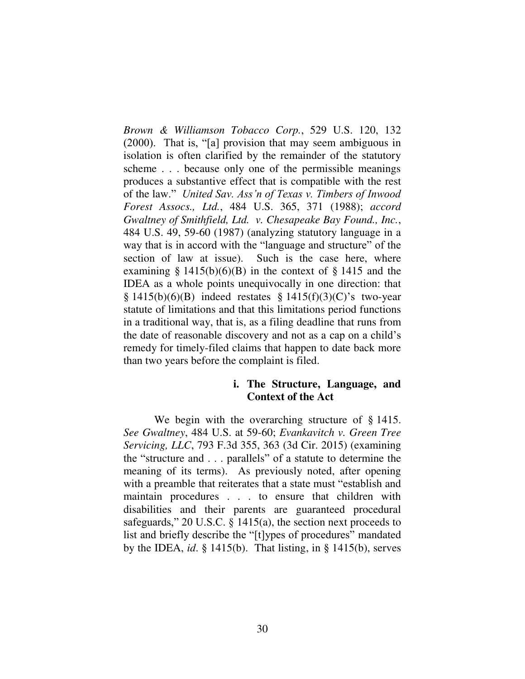*Brown & Williamson Tobacco Corp.*, 529 U.S. 120, 132 (2000). That is, "[a] provision that may seem ambiguous in isolation is often clarified by the remainder of the statutory scheme . . . because only one of the permissible meanings produces a substantive effect that is compatible with the rest of the law." *United Sav. Ass'n of Texas v. Timbers of Inwood Forest Assocs., Ltd.*, 484 U.S. 365, 371 (1988); *accord Gwaltney of Smithfield, Ltd. v. Chesapeake Bay Found., Inc.*, 484 U.S. 49, 59-60 (1987) (analyzing statutory language in a way that is in accord with the "language and structure" of the section of law at issue). Such is the case here, where examining  $\S 1415(b)(6)(B)$  in the context of  $\S 1415$  and the IDEA as a whole points unequivocally in one direction: that  $§ 1415(b)(6)(B)$  indeed restates § 1415(f)(3)(C)'s two-year statute of limitations and that this limitations period functions in a traditional way, that is, as a filing deadline that runs from the date of reasonable discovery and not as a cap on a child's remedy for timely-filed claims that happen to date back more than two years before the complaint is filed.

# **i. The Structure, Language, and Context of the Act**

We begin with the overarching structure of § 1415. *See Gwaltney*, 484 U.S. at 59-60; *Evankavitch v. Green Tree Servicing, LLC*, 793 F.3d 355, 363 (3d Cir. 2015) (examining the "structure and . . . parallels" of a statute to determine the meaning of its terms). As previously noted, after opening with a preamble that reiterates that a state must "establish and maintain procedures . . . to ensure that children with disabilities and their parents are guaranteed procedural safeguards," 20 U.S.C. § 1415(a), the section next proceeds to list and briefly describe the "[t]ypes of procedures" mandated by the IDEA, *id*. § 1415(b). That listing, in § 1415(b), serves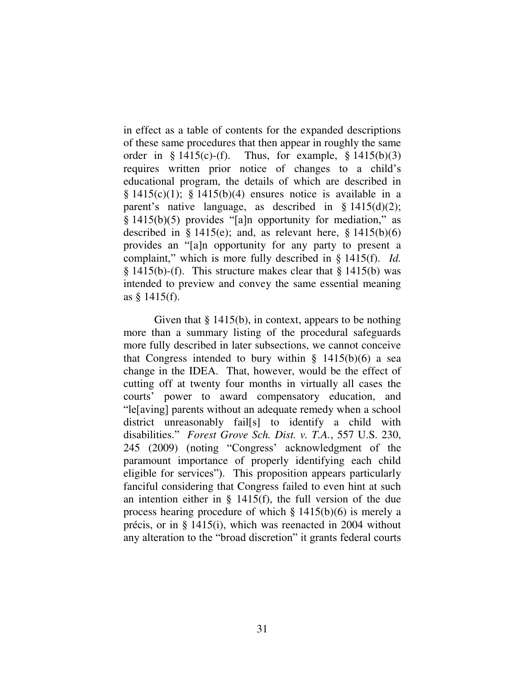in effect as a table of contents for the expanded descriptions of these same procedures that then appear in roughly the same order in  $\S 1415(c)-(f)$ . Thus, for example,  $\S 1415(b)(3)$ requires written prior notice of changes to a child's educational program, the details of which are described in  $\S$  1415(c)(1);  $\S$  1415(b)(4) ensures notice is available in a parent's native language, as described in  $\S$  1415(d)(2); § 1415(b)(5) provides "[a]n opportunity for mediation," as described in  $\S$  1415(e); and, as relevant here,  $\S$  1415(b)(6) provides an "[a]n opportunity for any party to present a complaint," which is more fully described in § 1415(f). *Id.* § 1415(b)-(f). This structure makes clear that § 1415(b) was intended to preview and convey the same essential meaning as § 1415(f).

Given that § 1415(b), in context, appears to be nothing more than a summary listing of the procedural safeguards more fully described in later subsections, we cannot conceive that Congress intended to bury within  $\S$  1415(b)(6) a sea change in the IDEA. That, however, would be the effect of cutting off at twenty four months in virtually all cases the courts' power to award compensatory education, and "le[aving] parents without an adequate remedy when a school district unreasonably fail[s] to identify a child with disabilities." *Forest Grove Sch. Dist. v. T.A.*, 557 U.S. 230, 245 (2009) (noting "Congress' acknowledgment of the paramount importance of properly identifying each child eligible for services"). This proposition appears particularly fanciful considering that Congress failed to even hint at such an intention either in  $\S$  1415(f), the full version of the due process hearing procedure of which § 1415(b)(6) is merely a précis, or in § 1415(i), which was reenacted in 2004 without any alteration to the "broad discretion" it grants federal courts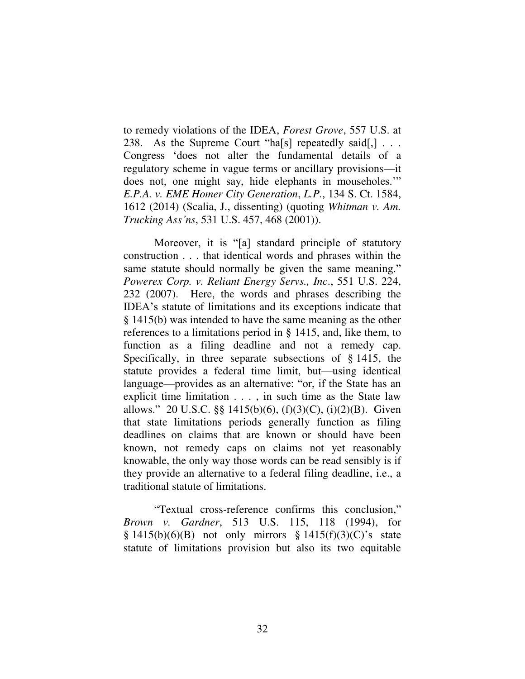to remedy violations of the IDEA, *Forest Grove*, 557 U.S. at 238. As the Supreme Court "has repeatedly said,  $\lbrack$ ... Congress 'does not alter the fundamental details of a regulatory scheme in vague terms or ancillary provisions—it does not, one might say, hide elephants in mouseholes.'" *E.P.A. v. EME Homer City Generation*, *L.P.*, 134 S. Ct. 1584, 1612 (2014) (Scalia, J., dissenting) (quoting *Whitman v. Am. Trucking Ass'ns*, 531 U.S. 457, 468 (2001)).

Moreover, it is "[a] standard principle of statutory construction . . . that identical words and phrases within the same statute should normally be given the same meaning." *Powerex Corp. v. Reliant Energy Servs., Inc*., 551 U.S. 224, 232 (2007). Here, the words and phrases describing the IDEA's statute of limitations and its exceptions indicate that § 1415(b) was intended to have the same meaning as the other references to a limitations period in § 1415, and, like them, to function as a filing deadline and not a remedy cap. Specifically, in three separate subsections of § 1415, the statute provides a federal time limit, but—using identical language—provides as an alternative: "or, if the State has an explicit time limitation . . . , in such time as the State law allows." 20 U.S.C. §§ 1415(b)(6), (f)(3)(C), (i)(2)(B). Given that state limitations periods generally function as filing deadlines on claims that are known or should have been known, not remedy caps on claims not yet reasonably knowable, the only way those words can be read sensibly is if they provide an alternative to a federal filing deadline, i.e., a traditional statute of limitations.

"Textual cross-reference confirms this conclusion," *Brown v. Gardner*, 513 U.S. 115, 118 (1994), for  $§ 1415(b)(6)(B)$  not only mirrors  $§ 1415(f)(3)(C)'s$  state statute of limitations provision but also its two equitable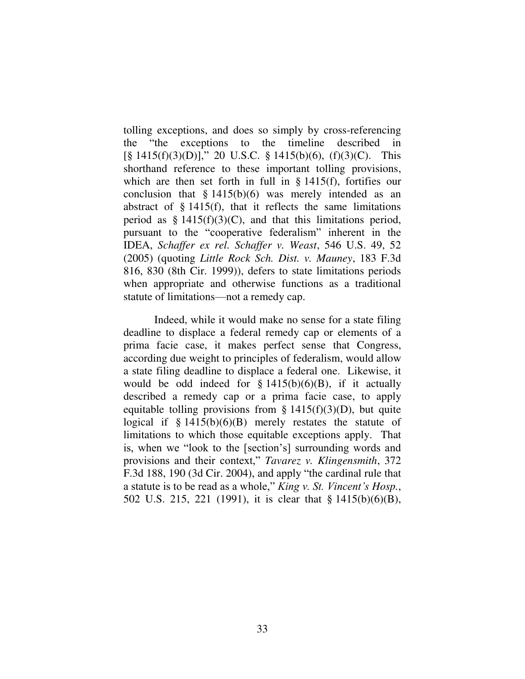tolling exceptions, and does so simply by cross-referencing the "the exceptions to the timeline described in  $[\S 1415(f)(3)(D)],$  20 U.S.C.  $\S 1415(b)(6)$ ,  $(f)(3)(C)$ . This shorthand reference to these important tolling provisions, which are then set forth in full in § 1415(f), fortifies our conclusion that  $§ 1415(b)(6)$  was merely intended as an abstract of  $\S$  1415(f), that it reflects the same limitations period as  $\S 1415(f)(3)(C)$ , and that this limitations period, pursuant to the "cooperative federalism" inherent in the IDEA, *Schaffer ex rel. Schaffer v. Weast*, 546 U.S. 49, 52 (2005) (quoting *Little Rock Sch. Dist. v. Mauney*, 183 F.3d 816, 830 (8th Cir. 1999)), defers to state limitations periods when appropriate and otherwise functions as a traditional statute of limitations—not a remedy cap.

Indeed, while it would make no sense for a state filing deadline to displace a federal remedy cap or elements of a prima facie case, it makes perfect sense that Congress, according due weight to principles of federalism, would allow a state filing deadline to displace a federal one. Likewise, it would be odd indeed for  $\S 1415(b)(6)(B)$ , if it actually described a remedy cap or a prima facie case, to apply equitable tolling provisions from  $\S$  1415(f)(3)(D), but quite logical if  $\S 1415(b)(6)(B)$  merely restates the statute of limitations to which those equitable exceptions apply. That is, when we "look to the [section's] surrounding words and provisions and their context," *Tavarez v. Klingensmith*, 372 F.3d 188, 190 (3d Cir. 2004), and apply "the cardinal rule that a statute is to be read as a whole," *King v. St. Vincent's Hosp.*, 502 U.S. 215, 221 (1991), it is clear that § 1415(b)(6)(B),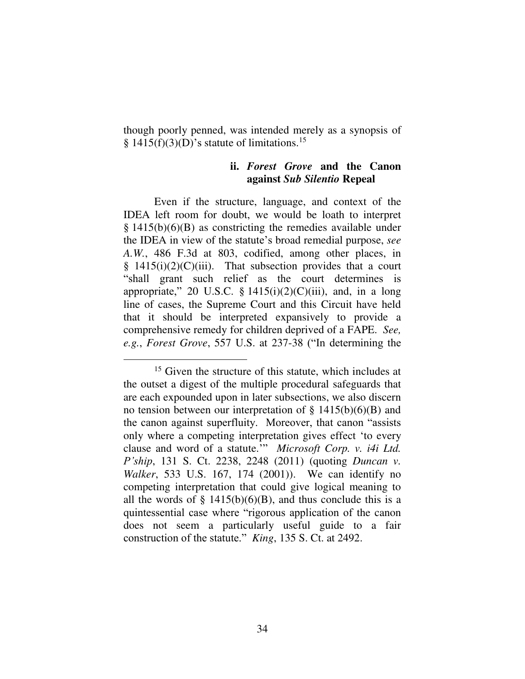though poorly penned, was intended merely as a synopsis of  $\S$  1415(f)(3)(D)'s statute of limitations.<sup>15</sup>

# **ii.** *Forest Grove* **and the Canon against** *Sub Silentio* **Repeal**

Even if the structure, language, and context of the IDEA left room for doubt, we would be loath to interpret § 1415(b)(6)(B) as constricting the remedies available under the IDEA in view of the statute's broad remedial purpose, *see A.W.*, 486 F.3d at 803, codified, among other places, in  $§$  1415(i)(2)(C)(iii). That subsection provides that a court "shall grant such relief as the court determines is appropriate," 20 U.S.C. §  $1415(i)(2)(C(iii)$ , and, in a long line of cases, the Supreme Court and this Circuit have held that it should be interpreted expansively to provide a comprehensive remedy for children deprived of a FAPE. *See, e.g.*, *Forest Grove*, 557 U.S. at 237-38 ("In determining the

<sup>&</sup>lt;sup>15</sup> Given the structure of this statute, which includes at the outset a digest of the multiple procedural safeguards that are each expounded upon in later subsections, we also discern no tension between our interpretation of  $\S$  1415(b)(6)(B) and the canon against superfluity. Moreover, that canon "assists only where a competing interpretation gives effect 'to every clause and word of a statute.'" *Microsoft Corp. v. i4i Ltd. P'ship*, 131 S. Ct. 2238, 2248 (2011) (quoting *Duncan v. Walker*, 533 U.S. 167, 174 (2001)). We can identify no competing interpretation that could give logical meaning to all the words of  $\S$  1415(b)(6)(B), and thus conclude this is a quintessential case where "rigorous application of the canon does not seem a particularly useful guide to a fair construction of the statute." *King*, 135 S. Ct. at 2492.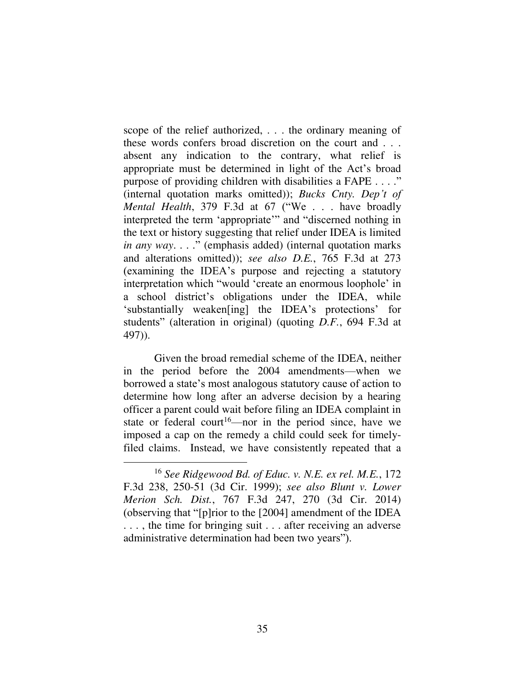scope of the relief authorized, . . . the ordinary meaning of these words confers broad discretion on the court and . . . absent any indication to the contrary, what relief is appropriate must be determined in light of the Act's broad purpose of providing children with disabilities a FAPE . . . ." (internal quotation marks omitted)); *Bucks Cnty. Dep't of Mental Health*, 379 F.3d at 67 ("We . . . have broadly interpreted the term 'appropriate'" and "discerned nothing in the text or history suggesting that relief under IDEA is limited *in any way*. . . ." (emphasis added) (internal quotation marks and alterations omitted)); *see also D.E.*, 765 F.3d at 273 (examining the IDEA's purpose and rejecting a statutory interpretation which "would 'create an enormous loophole' in a school district's obligations under the IDEA, while 'substantially weaken[ing] the IDEA's protections' for students" (alteration in original) (quoting *D.F.*, 694 F.3d at 497)).

Given the broad remedial scheme of the IDEA, neither in the period before the 2004 amendments—when we borrowed a state's most analogous statutory cause of action to determine how long after an adverse decision by a hearing officer a parent could wait before filing an IDEA complaint in state or federal court<sup>16</sup>—nor in the period since, have we imposed a cap on the remedy a child could seek for timelyfiled claims. Instead, we have consistently repeated that a

<sup>16</sup> *See Ridgewood Bd. of Educ. v. N.E. ex rel. M.E.*, 172 F.3d 238, 250-51 (3d Cir. 1999); *see also Blunt v. Lower Merion Sch. Dist.*, 767 F.3d 247, 270 (3d Cir. 2014) (observing that "[p]rior to the [2004] amendment of the IDEA ..., the time for bringing suit ... after receiving an adverse administrative determination had been two years").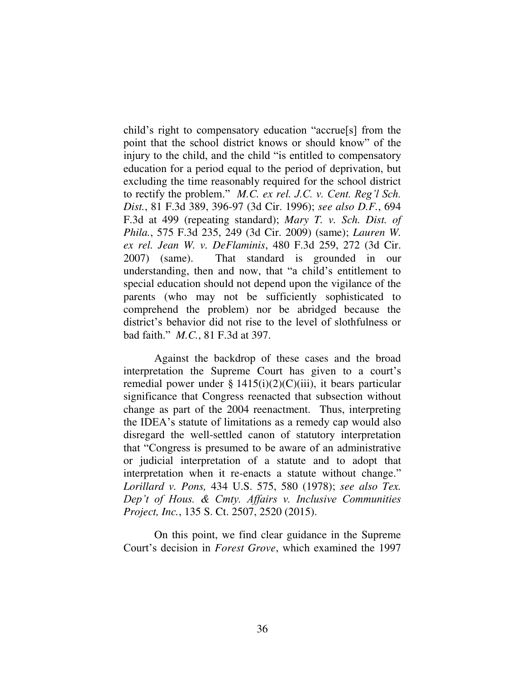child's right to compensatory education "accrue[s] from the point that the school district knows or should know" of the injury to the child, and the child "is entitled to compensatory education for a period equal to the period of deprivation, but excluding the time reasonably required for the school district to rectify the problem." *M.C. ex rel. J.C. v. Cent. Reg'l Sch. Dist.*, 81 F.3d 389, 396-97 (3d Cir. 1996); *see also D.F.*, 694 F.3d at 499 (repeating standard); *Mary T. v. Sch. Dist. of Phila.*, 575 F.3d 235, 249 (3d Cir. 2009) (same); *Lauren W. ex rel. Jean W. v. DeFlaminis*, 480 F.3d 259, 272 (3d Cir. 2007) (same). That standard is grounded in our understanding, then and now, that "a child's entitlement to special education should not depend upon the vigilance of the parents (who may not be sufficiently sophisticated to comprehend the problem) nor be abridged because the district's behavior did not rise to the level of slothfulness or bad faith." *M.C.*, 81 F.3d at 397.

Against the backdrop of these cases and the broad interpretation the Supreme Court has given to a court's remedial power under §  $1415(i)(2)(C)(iii)$ , it bears particular significance that Congress reenacted that subsection without change as part of the 2004 reenactment. Thus, interpreting the IDEA's statute of limitations as a remedy cap would also disregard the well-settled canon of statutory interpretation that "Congress is presumed to be aware of an administrative or judicial interpretation of a statute and to adopt that interpretation when it re-enacts a statute without change." *Lorillard v. Pons,* 434 U.S. 575, 580 (1978); *see also Tex. Dep't of Hous. & Cmty. Affairs v. Inclusive Communities Project, Inc.*, 135 S. Ct. 2507, 2520 (2015).

On this point, we find clear guidance in the Supreme Court's decision in *Forest Grove*, which examined the 1997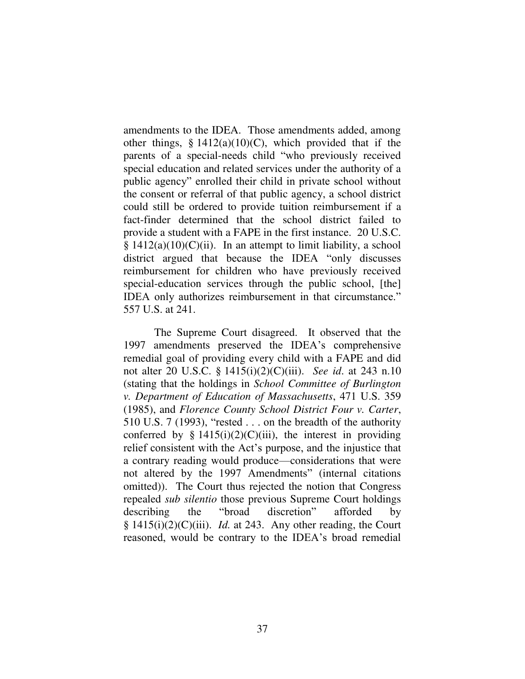amendments to the IDEA. Those amendments added, among other things,  $\S 1412(a)(10)(C)$ , which provided that if the parents of a special-needs child "who previously received special education and related services under the authority of a public agency" enrolled their child in private school without the consent or referral of that public agency, a school district could still be ordered to provide tuition reimbursement if a fact-finder determined that the school district failed to provide a student with a FAPE in the first instance. 20 U.S.C.  $§ 1412(a)(10)(C)(ii)$ . In an attempt to limit liability, a school district argued that because the IDEA "only discusses reimbursement for children who have previously received special-education services through the public school, [the] IDEA only authorizes reimbursement in that circumstance." 557 U.S. at 241.

The Supreme Court disagreed. It observed that the 1997 amendments preserved the IDEA's comprehensive remedial goal of providing every child with a FAPE and did not alter 20 U.S.C. § 1415(i)(2)(C)(iii). *See id*. at 243 n.10 (stating that the holdings in *School Committee of Burlington v. Department of Education of Massachusetts*, 471 U.S. 359 (1985), and *Florence County School District Four v. Carter*, 510 U.S. 7 (1993), "rested . . . on the breadth of the authority conferred by §  $1415(i)(2)(C)(iii)$ , the interest in providing relief consistent with the Act's purpose, and the injustice that a contrary reading would produce—considerations that were not altered by the 1997 Amendments" (internal citations omitted)). The Court thus rejected the notion that Congress repealed *sub silentio* those previous Supreme Court holdings describing the "broad discretion" afforded by § 1415(i)(2)(C)(iii). *Id.* at 243. Any other reading, the Court reasoned, would be contrary to the IDEA's broad remedial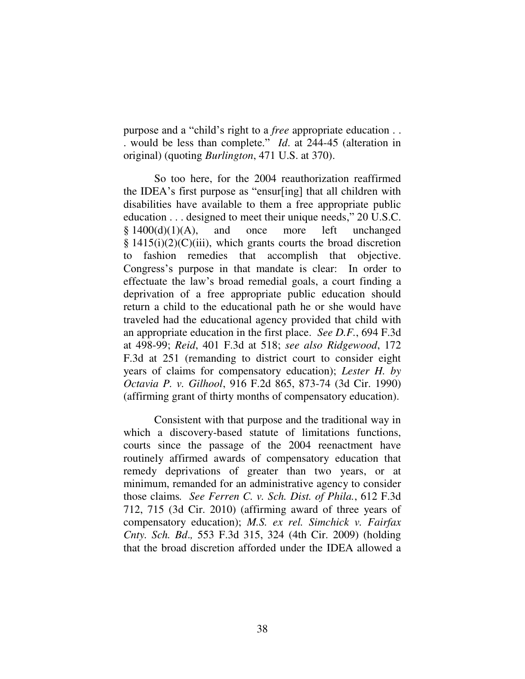purpose and a "child's right to a *free* appropriate education . . . would be less than complete." *Id*. at 244-45 (alteration in original) (quoting *Burlington*, 471 U.S. at 370).

So too here, for the 2004 reauthorization reaffirmed the IDEA's first purpose as "ensur[ing] that all children with disabilities have available to them a free appropriate public education . . . designed to meet their unique needs," 20 U.S.C.  $§ 1400(d)(1)(A)$ , and once more left unchanged  $§ 1415(i)(2)(C)(iii)$ , which grants courts the broad discretion to fashion remedies that accomplish that objective. Congress's purpose in that mandate is clear: In order to effectuate the law's broad remedial goals, a court finding a deprivation of a free appropriate public education should return a child to the educational path he or she would have traveled had the educational agency provided that child with an appropriate education in the first place. *See D.F.*, 694 F.3d at 498-99; *Reid*, 401 F.3d at 518; *see also Ridgewood*, 172 F.3d at 251 (remanding to district court to consider eight years of claims for compensatory education); *Lester H. by Octavia P. v. Gilhool*, 916 F.2d 865, 873-74 (3d Cir. 1990) (affirming grant of thirty months of compensatory education).

Consistent with that purpose and the traditional way in which a discovery-based statute of limitations functions, courts since the passage of the 2004 reenactment have routinely affirmed awards of compensatory education that remedy deprivations of greater than two years, or at minimum, remanded for an administrative agency to consider those claims*. See Ferren C. v. Sch. Dist. of Phila.*, 612 F.3d 712, 715 (3d Cir. 2010) (affirming award of three years of compensatory education); *M.S. ex rel. Simchick v. Fairfax Cnty. Sch. Bd*.*,* 553 F.3d 315, 324 (4th Cir. 2009) (holding that the broad discretion afforded under the IDEA allowed a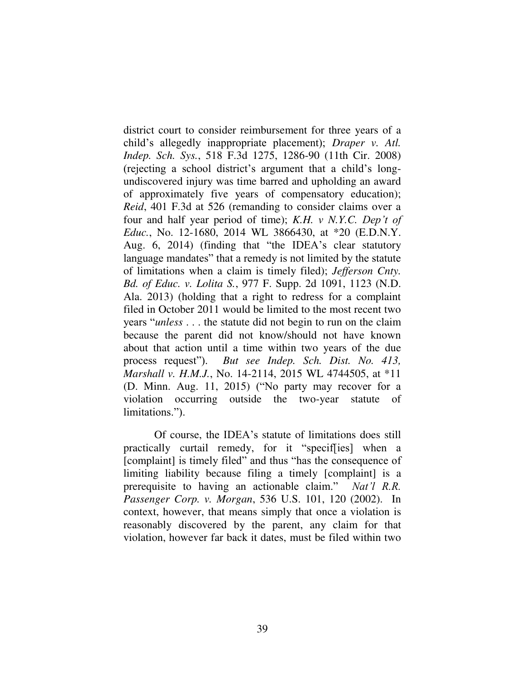district court to consider reimbursement for three years of a child's allegedly inappropriate placement); *Draper v. Atl. Indep. Sch. Sys.*, 518 F.3d 1275, 1286-90 (11th Cir. 2008) (rejecting a school district's argument that a child's longundiscovered injury was time barred and upholding an award of approximately five years of compensatory education); *Reid*, 401 F.3d at 526 (remanding to consider claims over a four and half year period of time); *K.H. v N.Y.C. Dep't of Educ.*, No. 12-1680, 2014 WL 3866430, at \*20 (E.D.N.Y. Aug. 6, 2014) (finding that "the IDEA's clear statutory language mandates" that a remedy is not limited by the statute of limitations when a claim is timely filed); *Jefferson Cnty. Bd. of Educ. v. Lolita S.*, 977 F. Supp. 2d 1091, 1123 (N.D. Ala. 2013) (holding that a right to redress for a complaint filed in October 2011 would be limited to the most recent two years "*unless* . . . the statute did not begin to run on the claim because the parent did not know/should not have known about that action until a time within two years of the due process request"). *But see Indep. Sch. Dist. No. 413, Marshall v. H.M.J.*, No. 14-2114, 2015 WL 4744505, at \*11 (D. Minn. Aug. 11, 2015) ("No party may recover for a violation occurring outside the two-year statute of limitations.").

Of course, the IDEA's statute of limitations does still practically curtail remedy, for it "specif[ies] when a [complaint] is timely filed" and thus "has the consequence of limiting liability because filing a timely [complaint] is a prerequisite to having an actionable claim." *Nat'l R.R. Passenger Corp. v. Morgan*, 536 U.S. 101, 120 (2002). In context, however, that means simply that once a violation is reasonably discovered by the parent, any claim for that violation, however far back it dates, must be filed within two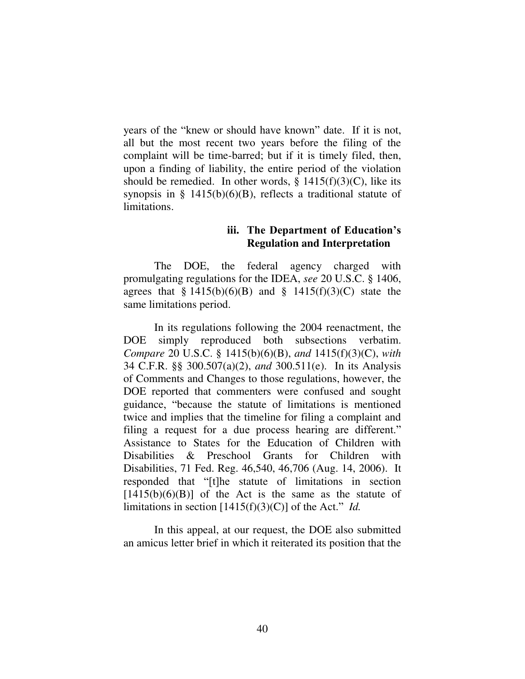years of the "knew or should have known" date. If it is not, all but the most recent two years before the filing of the complaint will be time-barred; but if it is timely filed, then, upon a finding of liability, the entire period of the violation should be remedied. In other words,  $\S$  1415(f)(3)(C), like its synopsis in  $\S$  1415(b)(6)(B), reflects a traditional statute of limitations.

## **iii. The Department of Education's Regulation and Interpretation**

The DOE, the federal agency charged with promulgating regulations for the IDEA, *see* 20 U.S.C. § 1406, agrees that  $\S 1415(b)(6)(B)$  and  $\S 1415(f)(3)(C)$  state the same limitations period.

In its regulations following the 2004 reenactment, the DOE simply reproduced both subsections verbatim. *Compare* 20 U.S.C. § 1415(b)(6)(B), *and* 1415(f)(3)(C), *with* 34 C.F.R. §§ 300.507(a)(2), *and* 300.511(e). In its Analysis of Comments and Changes to those regulations, however, the DOE reported that commenters were confused and sought guidance, "because the statute of limitations is mentioned twice and implies that the timeline for filing a complaint and filing a request for a due process hearing are different." Assistance to States for the Education of Children with Disabilities & Preschool Grants for Children with Disabilities, 71 Fed. Reg. 46,540, 46,706 (Aug. 14, 2006). It responded that "[t]he statute of limitations in section  $[1415(b)(6)(B)]$  of the Act is the same as the statute of limitations in section [1415(f)(3)(C)] of the Act." *Id.*

 In this appeal, at our request, the DOE also submitted an amicus letter brief in which it reiterated its position that the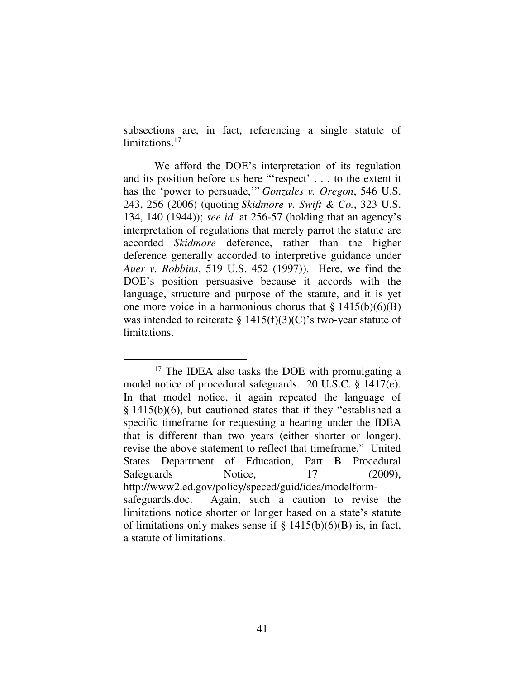subsections are, in fact, referencing a single statute of limitations.<sup>17</sup>

We afford the DOE's interpretation of its regulation and its position before us here "'respect' . . . to the extent it has the 'power to persuade,'" *Gonzales v. Oregon*, 546 U.S. 243, 256 (2006) (quoting *Skidmore v. Swift & Co.*, 323 U.S. 134, 140 (1944)); *see id.* at 256-57 (holding that an agency's interpretation of regulations that merely parrot the statute are accorded *Skidmore* deference, rather than the higher deference generally accorded to interpretive guidance under *Auer v. Robbins*, 519 U.S. 452 (1997)). Here, we find the DOE's position persuasive because it accords with the language, structure and purpose of the statute, and it is yet one more voice in a harmonious chorus that  $\S 1415(b)(6)(B)$ was intended to reiterate §  $1415(f)(3)(C)$ 's two-year statute of limitations.

 $\overline{a}$ <sup>17</sup> The IDEA also tasks the DOE with promulgating a model notice of procedural safeguards. 20 U.S.C. § 1417(e). In that model notice, it again repeated the language of § 1415(b)(6), but cautioned states that if they "established a specific timeframe for requesting a hearing under the IDEA that is different than two years (either shorter or longer), revise the above statement to reflect that timeframe." United States Department of Education, Part B Procedural Safeguards Notice, 17 (2009), http://www2.ed.gov/policy/speced/guid/idea/modelformsafeguards.doc. Again, such a caution to revise the limitations notice shorter or longer based on a state's statute of limitations only makes sense if  $\S 1415(b)(6)(B)$  is, in fact, a statute of limitations.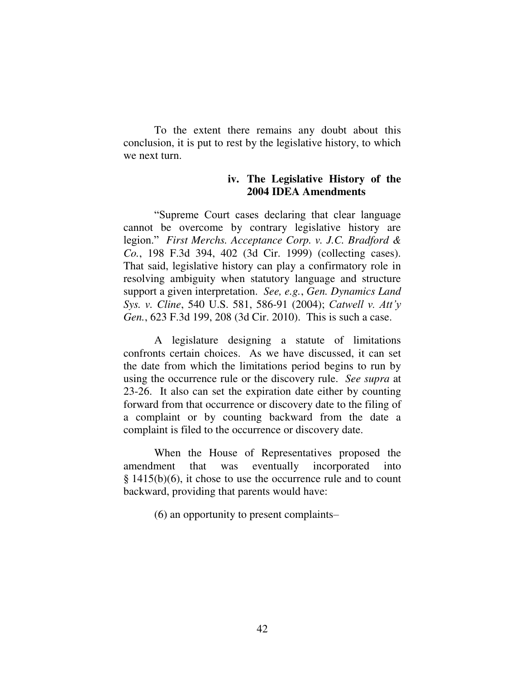To the extent there remains any doubt about this conclusion, it is put to rest by the legislative history, to which we next turn.

## **iv. The Legislative History of the 2004 IDEA Amendments**

"Supreme Court cases declaring that clear language cannot be overcome by contrary legislative history are legion." *First Merchs. Acceptance Corp. v. J.C. Bradford & Co.*, 198 F.3d 394, 402 (3d Cir. 1999) (collecting cases). That said, legislative history can play a confirmatory role in resolving ambiguity when statutory language and structure support a given interpretation. *See, e.g.*, *Gen. Dynamics Land Sys. v. Cline*, 540 U.S. 581, 586-91 (2004); *Catwell v. Att'y Gen.*, 623 F.3d 199, 208 (3d Cir. 2010). This is such a case.

A legislature designing a statute of limitations confronts certain choices. As we have discussed, it can set the date from which the limitations period begins to run by using the occurrence rule or the discovery rule. *See supra* at 23-26. It also can set the expiration date either by counting forward from that occurrence or discovery date to the filing of a complaint or by counting backward from the date a complaint is filed to the occurrence or discovery date.

When the House of Representatives proposed the amendment that was eventually incorporated into § 1415(b)(6), it chose to use the occurrence rule and to count backward, providing that parents would have:

(6) an opportunity to present complaints–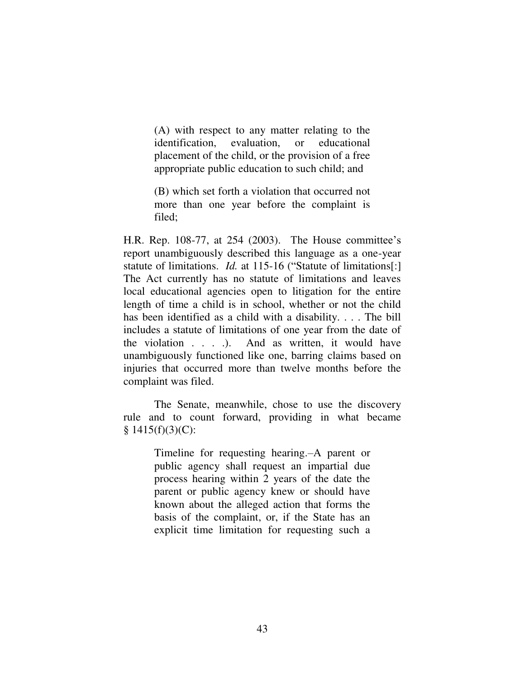(A) with respect to any matter relating to the identification, evaluation, or educational placement of the child, or the provision of a free appropriate public education to such child; and

(B) which set forth a violation that occurred not more than one year before the complaint is filed;

H.R. Rep. 108-77, at 254 (2003). The House committee's report unambiguously described this language as a one-year statute of limitations. *Id.* at 115-16 ("Statute of limitations[:] The Act currently has no statute of limitations and leaves local educational agencies open to litigation for the entire length of time a child is in school, whether or not the child has been identified as a child with a disability. . . . The bill includes a statute of limitations of one year from the date of the violation . . . .).And as written, it would have unambiguously functioned like one, barring claims based on injuries that occurred more than twelve months before the complaint was filed.

 The Senate, meanwhile, chose to use the discovery rule and to count forward, providing in what became  $§ 1415(f)(3)(C):$ 

> Timeline for requesting hearing.–A parent or public agency shall request an impartial due process hearing within 2 years of the date the parent or public agency knew or should have known about the alleged action that forms the basis of the complaint, or, if the State has an explicit time limitation for requesting such a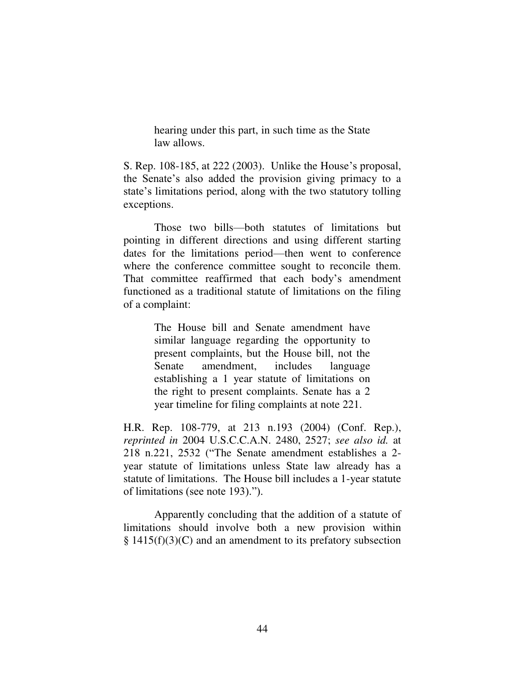hearing under this part, in such time as the State law allows.

S. Rep. 108-185, at 222 (2003). Unlike the House's proposal, the Senate's also added the provision giving primacy to a state's limitations period, along with the two statutory tolling exceptions.

 Those two bills—both statutes of limitations but pointing in different directions and using different starting dates for the limitations period—then went to conference where the conference committee sought to reconcile them. That committee reaffirmed that each body's amendment functioned as a traditional statute of limitations on the filing of a complaint:

> The House bill and Senate amendment have similar language regarding the opportunity to present complaints, but the House bill, not the Senate amendment, includes language establishing a 1 year statute of limitations on the right to present complaints. Senate has a 2 year timeline for filing complaints at note 221.

H.R. Rep. 108-779, at 213 n.193 (2004) (Conf. Rep.), *reprinted in* 2004 U.S.C.C.A.N. 2480, 2527; *see also id.* at 218 n.221, 2532 ("The Senate amendment establishes a 2 year statute of limitations unless State law already has a statute of limitations. The House bill includes a 1-year statute of limitations (see note 193).").

Apparently concluding that the addition of a statute of limitations should involve both a new provision within  $§ 1415(f)(3)(C)$  and an amendment to its prefatory subsection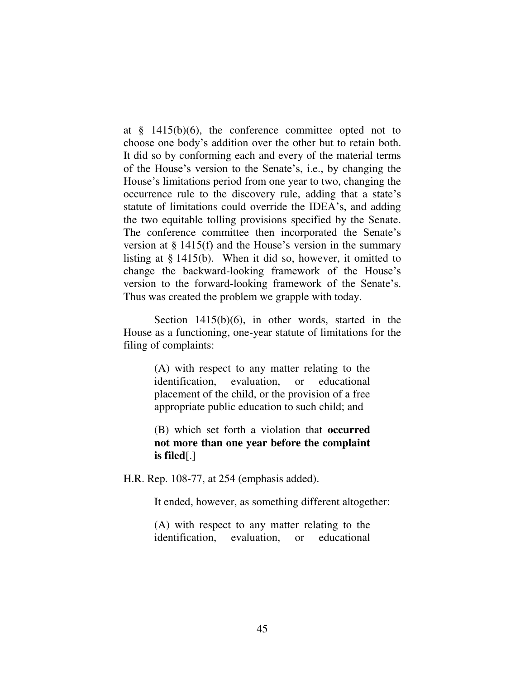at  $\frac{8}{9}$  1415(b)(6), the conference committee opted not to choose one body's addition over the other but to retain both. It did so by conforming each and every of the material terms of the House's version to the Senate's, i.e., by changing the House's limitations period from one year to two, changing the occurrence rule to the discovery rule, adding that a state's statute of limitations could override the IDEA's, and adding the two equitable tolling provisions specified by the Senate. The conference committee then incorporated the Senate's version at § 1415(f) and the House's version in the summary listing at § 1415(b). When it did so, however, it omitted to change the backward-looking framework of the House's version to the forward-looking framework of the Senate's. Thus was created the problem we grapple with today.

Section 1415(b)(6), in other words, started in the House as a functioning, one-year statute of limitations for the filing of complaints:

> (A) with respect to any matter relating to the identification, evaluation, or educational placement of the child, or the provision of a free appropriate public education to such child; and

> (B) which set forth a violation that **occurred not more than one year before the complaint is filed**[.]

H.R. Rep. 108-77, at 254 (emphasis added).

It ended, however, as something different altogether:

(A) with respect to any matter relating to the identification, evaluation, or educational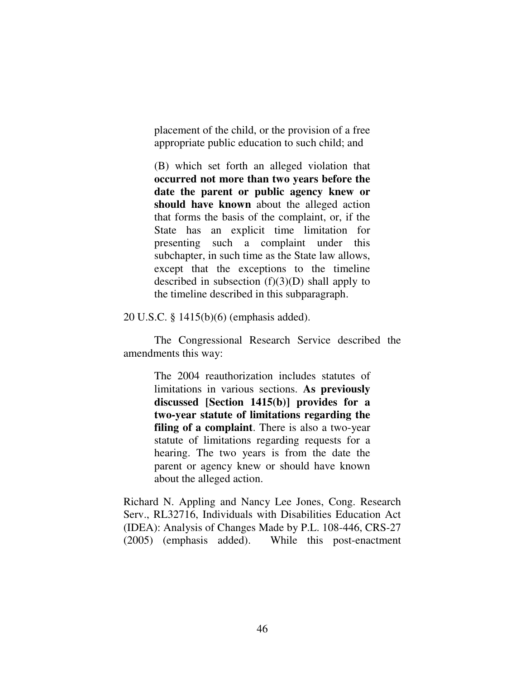placement of the child, or the provision of a free appropriate public education to such child; and

(B) which set forth an alleged violation that **occurred not more than two years before the date the parent or public agency knew or should have known** about the alleged action that forms the basis of the complaint, or, if the State has an explicit time limitation for presenting such a complaint under this subchapter, in such time as the State law allows, except that the exceptions to the timeline described in subsection  $(f)(3)(D)$  shall apply to the timeline described in this subparagraph.

20 U.S.C. § 1415(b)(6) (emphasis added).

The Congressional Research Service described the amendments this way:

> The 2004 reauthorization includes statutes of limitations in various sections. **As previously discussed [Section 1415(b)] provides for a two-year statute of limitations regarding the filing of a complaint**. There is also a two-year statute of limitations regarding requests for a hearing. The two years is from the date the parent or agency knew or should have known about the alleged action.

Richard N. Appling and Nancy Lee Jones, Cong. Research Serv., RL32716, Individuals with Disabilities Education Act (IDEA): Analysis of Changes Made by P.L. 108-446, CRS-27 (2005) (emphasis added). While this post-enactment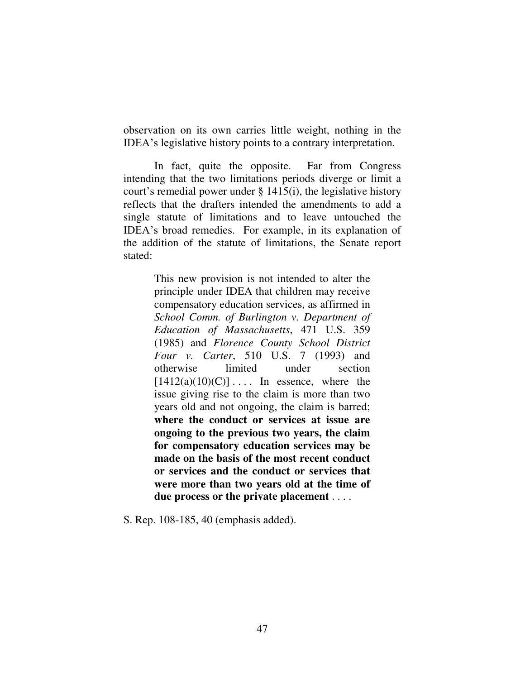observation on its own carries little weight, nothing in the IDEA's legislative history points to a contrary interpretation.

In fact, quite the opposite. Far from Congress intending that the two limitations periods diverge or limit a court's remedial power under § 1415(i), the legislative history reflects that the drafters intended the amendments to add a single statute of limitations and to leave untouched the IDEA's broad remedies. For example, in its explanation of the addition of the statute of limitations, the Senate report stated:

> This new provision is not intended to alter the principle under IDEA that children may receive compensatory education services, as affirmed in *School Comm. of Burlington v. Department of Education of Massachusetts*, 471 U.S. 359 (1985) and *Florence County School District Four v. Carter*, 510 U.S. 7 (1993) and otherwise limited under section  $[1412(a)(10)(C)] \ldots$  In essence, where the issue giving rise to the claim is more than two years old and not ongoing, the claim is barred; **where the conduct or services at issue are ongoing to the previous two years, the claim for compensatory education services may be made on the basis of the most recent conduct or services and the conduct or services that were more than two years old at the time of due process or the private placement** . . . .

S. Rep. 108-185, 40 (emphasis added).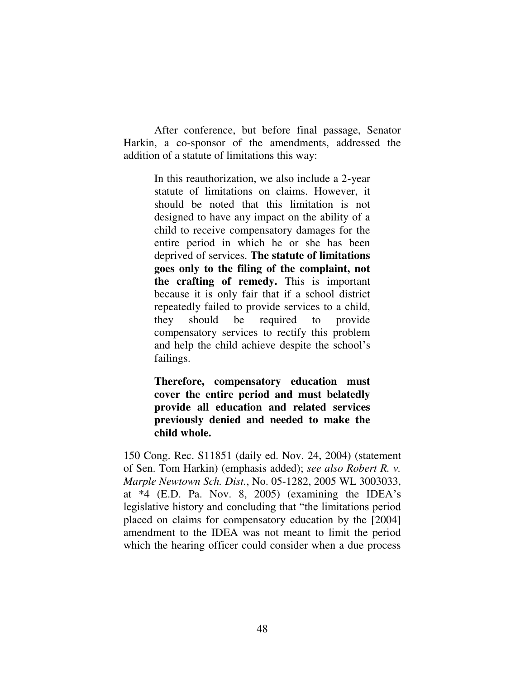After conference, but before final passage, Senator Harkin, a co-sponsor of the amendments, addressed the addition of a statute of limitations this way:

> In this reauthorization, we also include a 2-year statute of limitations on claims. However, it should be noted that this limitation is not designed to have any impact on the ability of a child to receive compensatory damages for the entire period in which he or she has been deprived of services. **The statute of limitations goes only to the filing of the complaint, not the crafting of remedy.** This is important because it is only fair that if a school district repeatedly failed to provide services to a child, they should be required to provide compensatory services to rectify this problem and help the child achieve despite the school's failings.

> **Therefore, compensatory education must cover the entire period and must belatedly provide all education and related services previously denied and needed to make the child whole.**

150 Cong. Rec. S11851 (daily ed. Nov. 24, 2004) (statement of Sen. Tom Harkin) (emphasis added); *see also Robert R. v. Marple Newtown Sch. Dist.*, No. 05-1282, 2005 WL 3003033, at \*4 (E.D. Pa. Nov. 8, 2005) (examining the IDEA's legislative history and concluding that "the limitations period placed on claims for compensatory education by the [2004] amendment to the IDEA was not meant to limit the period which the hearing officer could consider when a due process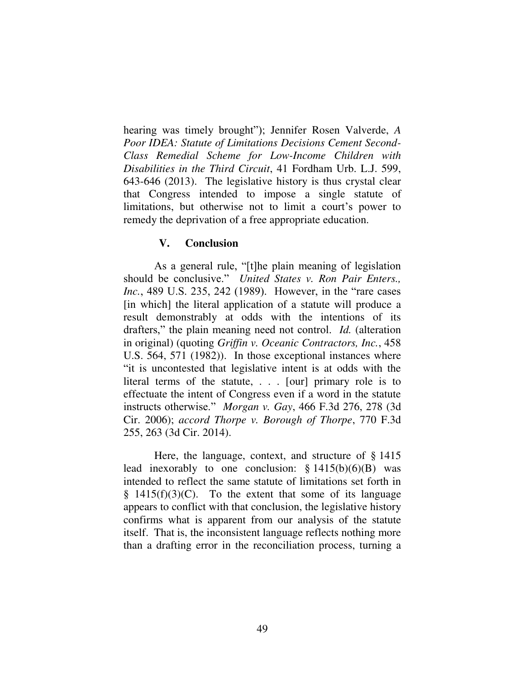hearing was timely brought"); Jennifer Rosen Valverde, *A Poor IDEA: Statute of Limitations Decisions Cement Second-Class Remedial Scheme for Low-Income Children with Disabilities in the Third Circuit*, 41 Fordham Urb. L.J. 599, 643-646 (2013). The legislative history is thus crystal clear that Congress intended to impose a single statute of limitations, but otherwise not to limit a court's power to remedy the deprivation of a free appropriate education.

## **V. Conclusion**

As a general rule, "[t]he plain meaning of legislation should be conclusive." *United States v. Ron Pair Enters., Inc.*, 489 U.S. 235, 242 (1989). However, in the "rare cases" [in which] the literal application of a statute will produce a result demonstrably at odds with the intentions of its drafters," the plain meaning need not control. *Id.* (alteration in original) (quoting *Griffin v. Oceanic Contractors, Inc.*, 458 U.S. 564, 571 (1982)). In those exceptional instances where "it is uncontested that legislative intent is at odds with the literal terms of the statute, . . . [our] primary role is to effectuate the intent of Congress even if a word in the statute instructs otherwise." *Morgan v. Gay*, 466 F.3d 276, 278 (3d Cir. 2006); *accord Thorpe v. Borough of Thorpe*, 770 F.3d 255, 263 (3d Cir. 2014).

 Here, the language, context, and structure of § 1415 lead inexorably to one conclusion:  $§ 1415(b)(6)(B)$  was intended to reflect the same statute of limitations set forth in  $§$  1415(f)(3)(C). To the extent that some of its language appears to conflict with that conclusion, the legislative history confirms what is apparent from our analysis of the statute itself. That is, the inconsistent language reflects nothing more than a drafting error in the reconciliation process, turning a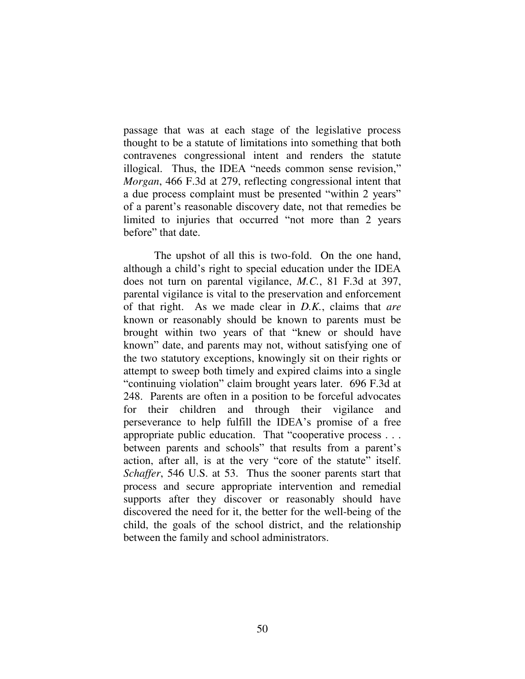passage that was at each stage of the legislative process thought to be a statute of limitations into something that both contravenes congressional intent and renders the statute illogical. Thus, the IDEA "needs common sense revision," *Morgan*, 466 F.3d at 279, reflecting congressional intent that a due process complaint must be presented "within 2 years" of a parent's reasonable discovery date, not that remedies be limited to injuries that occurred "not more than 2 years before" that date.

The upshot of all this is two-fold. On the one hand, although a child's right to special education under the IDEA does not turn on parental vigilance, *M.C.*, 81 F.3d at 397, parental vigilance is vital to the preservation and enforcement of that right. As we made clear in *D.K.*, claims that *are* known or reasonably should be known to parents must be brought within two years of that "knew or should have known" date, and parents may not, without satisfying one of the two statutory exceptions, knowingly sit on their rights or attempt to sweep both timely and expired claims into a single "continuing violation" claim brought years later. 696 F.3d at 248. Parents are often in a position to be forceful advocates for their children and through their vigilance and perseverance to help fulfill the IDEA's promise of a free appropriate public education. That "cooperative process . . . between parents and schools" that results from a parent's action, after all, is at the very "core of the statute" itself. *Schaffer*, 546 U.S. at 53. Thus the sooner parents start that process and secure appropriate intervention and remedial supports after they discover or reasonably should have discovered the need for it, the better for the well-being of the child, the goals of the school district, and the relationship between the family and school administrators.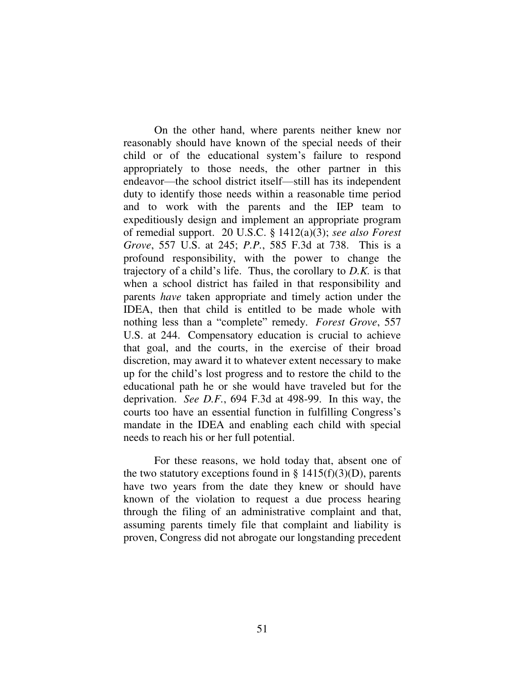On the other hand, where parents neither knew nor reasonably should have known of the special needs of their child or of the educational system's failure to respond appropriately to those needs, the other partner in this endeavor—the school district itself—still has its independent duty to identify those needs within a reasonable time period and to work with the parents and the IEP team to expeditiously design and implement an appropriate program of remedial support. 20 U.S.C. § 1412(a)(3); *see also Forest Grove*, 557 U.S. at 245; *P.P.*, 585 F.3d at 738. This is a profound responsibility, with the power to change the trajectory of a child's life. Thus, the corollary to *D.K.* is that when a school district has failed in that responsibility and parents *have* taken appropriate and timely action under the IDEA, then that child is entitled to be made whole with nothing less than a "complete" remedy. *Forest Grove*, 557 U.S. at 244. Compensatory education is crucial to achieve that goal, and the courts, in the exercise of their broad discretion, may award it to whatever extent necessary to make up for the child's lost progress and to restore the child to the educational path he or she would have traveled but for the deprivation. *See D.F.*, 694 F.3d at 498-99. In this way, the courts too have an essential function in fulfilling Congress's mandate in the IDEA and enabling each child with special needs to reach his or her full potential.

 For these reasons, we hold today that, absent one of the two statutory exceptions found in §  $1415(f)(3)(D)$ , parents have two years from the date they knew or should have known of the violation to request a due process hearing through the filing of an administrative complaint and that, assuming parents timely file that complaint and liability is proven, Congress did not abrogate our longstanding precedent